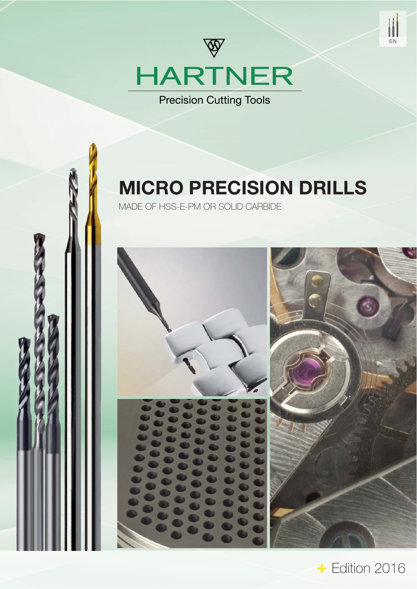

Precision Cutting Tools

# MICRO PRECISION DRILLS

MADE OF HSS-E-PM OR SOLID CARBIDE



 $\mathbf{H}$ EN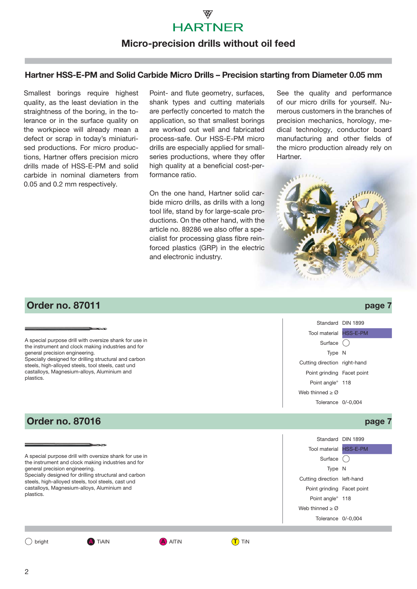# **HARTNFR**

Micro-precision drills without oil feed

#### Hartner HSS-E-PM and Solid Carbide Micro Drills – Precision starting from Diameter 0.05 mm

Smallest borings require highest quality, as the least deviation in the straightness of the boring, in the tolerance or in the surface quality on the workpiece will already mean a defect or scrap in today's miniaturised productions. For micro productions, Hartner offers precision micro drills made of HSS-E-PM and solid carbide in nominal diameters from 0.05 and 0.2 mm respectively.

Point- and flute geometry, surfaces, shank types and cutting materials are perfectly concerted to match the application, so that smallest borings are worked out well and fabricated process-safe. Our HSS-E-PM micro drills are especially applied for smallseries productions, where they offer high quality at a beneficial cost-performance ratio.

On the one hand, Hartner solid carbide micro drills, as drills with a long tool life, stand by for large-scale productions. On the other hand, with the article no. 89286 we also offer a specialist for processing glass fibre reinforced plastics (GRP) in the electric and electronic industry.

See the quality and performance of our micro drills for yourself. Numerous customers in the branches of precision mechanics, horology, medical technology, conductor board manufacturing and other fields of the micro production already rely on Hartner.



#### **Order no. 87011** page 7



#### Standard DIN 1890 Tool material HSS-E-PM A special purpose drill with oversize shank for use in the instrument and clock making industries and for general precision engineering. Specially designed for drilling structural and carbon steels, high-alloyed steels, tool steels, cast und castalloys, Magnesium-alloys, Aluminium and plastics. Surface ( Type N Cutting direction left-hand Point grinding Facet point Point angle<sup>°</sup> 118 Web thinned  $\geq \emptyset$ Tolerance 0/-0,004

◯ bright

plastics.



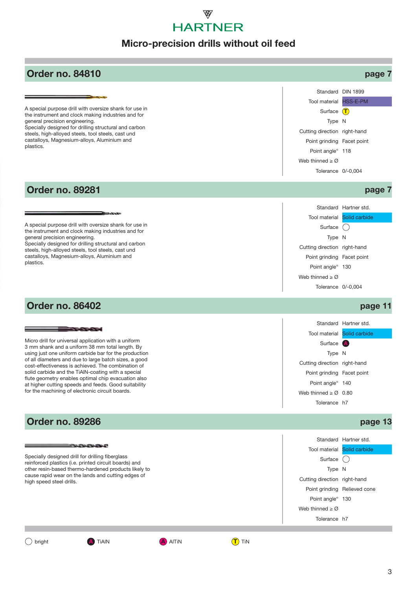# **HARTNFR**

#### Micro-precision drills without oil feed

#### **Order no. 84810** page 7 Standard DIN 1899 Tool material HSS-E-PM A special purpose drill with oversize shank for use in Surface **(T** the instrument and clock making industries and for general precision engineering. Type N Specially designed for drilling structural and carbon Cutting direction right-hand steels, high-alloyed steels, tool steels, cast und castalloys, Magnesium-alloys, Aluminium and Point grinding Facet point plastics. Point angle° 118 Web thinned  $\geq$  Ø Tolerance 0/-0,004 **Order no. 89281** page 7 Standard Hartner std. Tool material Solid carbide A special purpose drill with oversize shank for use in Surface  $\bigcap$ the instrument and clock making industries and for general precision engineering. Type N Specially designed for drilling structural and carbon Cutting direction right-hand steels, high-alloyed steels, tool steels, cast und castalloys, Magnesium-alloys, Aluminium and Point grinding Facet point plastics. Point angle° 130 Web thinned  $\geq$  Ø Tolerance 0/-0,004 Order no. 86402 page 11 Standard Hartner std. Tool material Solid carbide Micro drill for universal application with a uniform **A** Surface 3 mm shank and a uniform 38 mm total length. By using just one uniform carbide bar for the production Type N of all diameters and due to large batch sizes, a good Cutting direction right-hand cost-effectiveness is achieved. The combination of solid carbide and the TiAlN-coating with a special Point grinding Facet point flute geometry enables optimal chip evacuation also Point angle° 140 at higher cutting speeds and feeds. Good suitability for the machining of electronic circuit boards. Web thinned  $\geq$  Ø 0.80 Tolerance h7 **Order no. 89286** page 13 Standard Hartner std. **STATISTICS** Tool material Solid carbide Specially designed drill for drilling fiberglass Surface  $\bigcap$ reinforced plastics (i.e. printed circuit boards) and other resin-based thermo-hardened products likely to Type N cause rapid wear on the lands and cutting edges of Cutting direction right-hand high speed steel drills. Point grinding Relieved cone Point angle° 130 Web thinned  $\geq \emptyset$

 $\bigcirc$  bright





Tolerance h7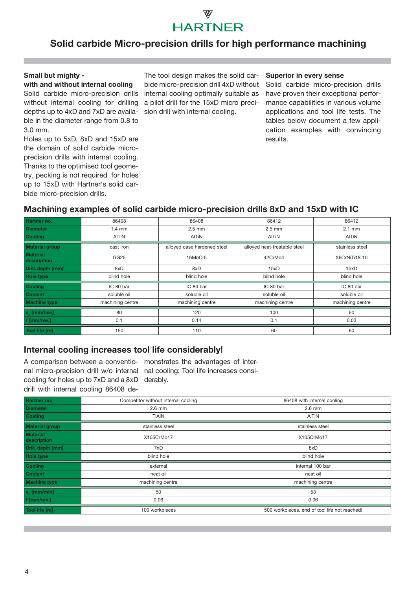#### Solid carbide Micro-precision drills for high performance machining

#### Small but mighty -

with and without internal cooling Solid carbide micro-precision drills without internal cooling for drilling depths up to 4xD and 7xD are available in the diameter range from 0.8 to 3.0 mm.

Holes up to 5xD, 8xD and 15xD are the domain of solid carbide microprecision drills with internal cooling. Thanks to the optimised tool geometry, pecking is not required for holes up to 15xD with Hartner's solid carbide micro-precision drills.

The tool design makes the solid carbide micro-precision drill 4xD without internal cooling optimally suitable as a pilot drill for the 15xD micro precision drill with internal cooling.

#### Superior in every sense

Solid carbide micro-precision drills have proven their exceptional performance capabilities in various volume applications and tool life tests. The tables below document a few application examples with convincing results.

#### Machining examples of solid carbide micro-precision drills 8xD and 15xD with IC

| Hartner no.                    | 86408            | 86408                       | 86412                        | 86412            |
|--------------------------------|------------------|-----------------------------|------------------------------|------------------|
| <b>Diameter</b>                | $1.4 \text{ mm}$ | $2.5$ mm                    | $2.5$ mm                     | $2.1$ mm         |
| <b>Coating</b>                 | <b>AITIN</b>     | <b>AITIN</b>                | <b>AITIN</b>                 | <b>AITIN</b>     |
| <b>Material group</b>          | cast iron        | alloyed case hardened steel | alloyed heat-treatable steel | stainless steel  |
| <b>Material</b><br>description | GG25             | 16MnCr5                     | 42CrMo4                      | X6CrNiTi18 10    |
| Drill. depth [mm]              | 8xD              | 8xD                         | 15xD                         | 15xD             |
| <b>Hole type</b>               | blind hole       | blind hole                  | blind hole                   | blind hole       |
| <b>Cooling</b>                 | IC 80 bar        | IC 80 bar                   | IC 80 bar                    | IC 80 bar        |
| <b>Coolant</b>                 | soluble oil      | soluble oil                 | soluble oil                  | soluble oil      |
| <b>Machine type</b>            | machining centre | machining centre            | machining centre             | machining centre |
| $v_{\rm s}$ [mm/min]           | 80               | 120                         | 100                          | 60               |
| $f$ [mm/rev.]                  | 0.1              | 0.14                        | 0.1                          | 0.03             |
| Tool life [m]                  | 150              | 110                         | 60                           | 60               |

#### Internal cooling increases tool life considerably!

A comparison between a conventio- monstrates the advantages of internal micro-precision drill w/o internal nal cooling: Tool life increases consicooling for holes up to 7xD and a 8xD derably. drill with internal cooling 86408 de-

Hartner no. **Competitor without internal cooling Example 10 and 2008** with internal cooling **86408** with internal cooling **Diameter 2.6 mm 2.6 mm 2.6 mm 2.6 mm 2.6 mm 2.6 mm 2.6 mm 2.6 mm** Coating and the control of the control of the control of the control of the control of the control of the control of the control of the control of the control of the control of the control of the control of the control of Material group stainless steel stainless steel state steel state state state steel stainless steel state steel Material<br>description material X105CrMo17 X105CrMo17 X105CrMo17 X105CrMo17 X105CrMo17 Drill. depth [mm] 7xD 8xD Hole type blind hole blind hole blind hole blind hole blind hole blind hole blind hole Cooling external internal 100 bar Coolant neat oil neat oil **Machine type the machining centre machining centre** machining centre machining centre machining centre machining centre vc [mm/min] 53 53 f [mm/rev.] 0.06 0.06 Tool workpieces and of tool life not reached!<br>  $500$  workpieces, end of tool life not reached!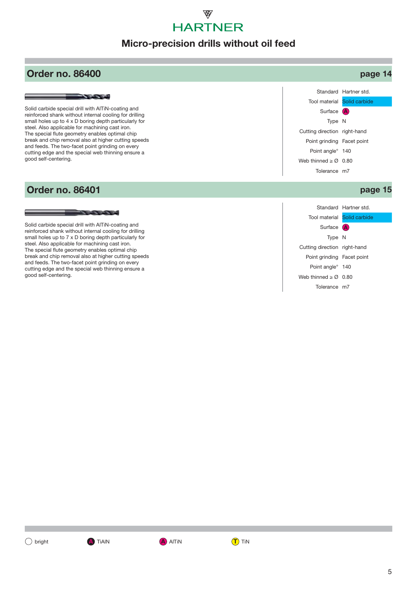#### $\overline{\mathscr{W}}$ **HARTNER**

#### Micro-precision drills without oil feed

#### Order no. 86400 page 14

#### **STATISTICS**

Solid carbide special drill with AlTiN-coating and reinforced shank without internal cooling for drilling small holes up to 4 x D boring depth particularly for steel. Also applicable for machining cast iron. The special flute geometry enables optimal chip break and chip removal also at higher cutting speeds and feeds. The two-facet point grinding on every cutting edge and the special web thinning ensure a good self-centering.

#### **Order no. 86401 page 15**

## **Service State States**

Solid carbide special drill with AlTiN-coating and reinforced shank without internal cooling for drilling small holes up to 7 x D boring depth particularly for steel. Also applicable for machining cast iron. The special flute geometry enables optimal chip break and chip removal also at higher cutting speeds and feeds. The two-facet point grinding on every cutting edge and the special web thinning ensure a good self-centering.

- **A** Surface Standard Hartner std. Tool material Solid carbide Type N Cutting direction right-hand Point grinding Facet point Point angle° 140 Web thinned  $\geq$  Ø 0.80
	- Tolerance m7

**A** Standard Hartner std. Tool material Solid carbide Surface Type N Cutting direction right-hand Point grinding Facet point Point angle° 140 Web thinned  $\geq$  Ø 0.80

Tolerance m7



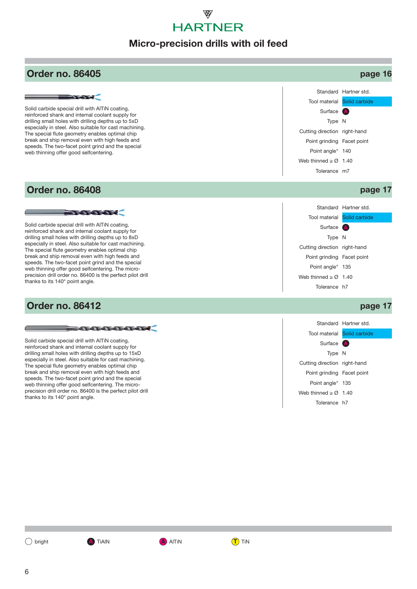# **HARTNFR**

#### Micro-precision drills with oil feed





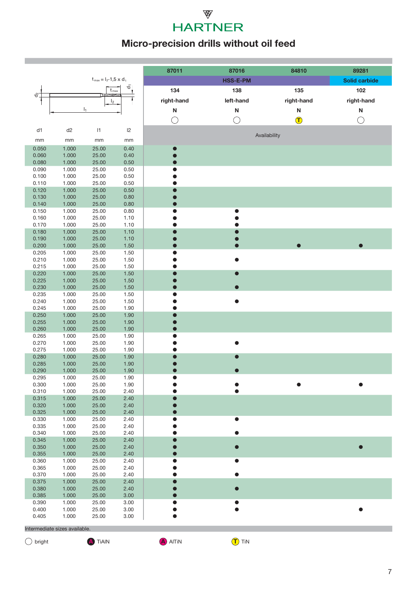#### Micro-precision drills without oil feed

|                |                               |                                        |              | 87011         | 87016           | 84810        | 89281         |
|----------------|-------------------------------|----------------------------------------|--------------|---------------|-----------------|--------------|---------------|
|                |                               | $\rm t_{max}=I_2\mbox{-}1,5\times d_1$ |              |               | <b>HSS-E-PM</b> |              | Solid carbide |
| $\sigma$       |                               | $t_{\text{max}}$                       | Ò            | 134           | 138             | 135          | 102           |
|                |                               | I <sub>2</sub>                         |              | right-hand    | left-hand       | right-hand   | right-hand    |
|                |                               | $\mathsf{I}_1$                         |              | ${\sf N}$     | ${\sf N}$       | ${\sf N}$    | ${\sf N}$     |
|                |                               |                                        |              | $\mathcal{L}$ | $(\ )$          | $\bigodot$   |               |
| d1             | d2                            | 1                                      | 12           |               |                 |              |               |
| mm             | mm                            | mm                                     | mm           |               |                 | Availability |               |
| 0.050          | 1.000                         | 25.00                                  | 0.40         |               |                 |              |               |
| 0.060<br>0.080 | 1.000<br>1.000                | 25.00<br>25.00                         | 0.40<br>0.50 |               |                 |              |               |
| 0.090          | 1.000                         | 25.00                                  | 0.50         |               |                 |              |               |
| 0.100          | 1.000                         | 25.00                                  | 0.50         |               |                 |              |               |
| 0.110<br>0.120 | 1.000<br>1.000                | 25.00<br>25.00                         | 0.50<br>0.50 |               |                 |              |               |
| 0.130          | 1.000                         | 25.00                                  | 0.80         |               |                 |              |               |
| 0.140          | 1.000                         | 25.00                                  | 0.80         |               |                 |              |               |
| 0.150<br>0.160 | 1.000<br>1.000                | 25.00<br>25.00                         | 0.80<br>1.10 |               |                 |              |               |
| 0.170          | 1.000                         | 25.00                                  | 1.10         |               |                 |              |               |
| 0.180<br>0.190 | 1.000<br>1.000                | 25.00<br>25.00                         | 1.10<br>1.10 |               |                 |              |               |
| 0.200          | 1.000                         | 25.00                                  | 1.50         |               |                 |              |               |
| 0.205          | 1.000                         | 25.00                                  | 1.50         |               |                 |              |               |
| 0.210<br>0.215 | 1.000<br>1.000                | 25.00<br>25.00                         | 1.50<br>1.50 |               |                 |              |               |
| 0.220          | 1.000                         | 25.00                                  | 1.50         |               | $\bullet$       |              |               |
| 0.225          | 1.000                         | 25.00                                  | 1.50         |               |                 |              |               |
| 0.230<br>0.235 | 1.000<br>1.000                | 25.00<br>25.00                         | 1.50<br>1.50 |               |                 |              |               |
| 0.240          | 1.000                         | 25.00                                  | 1.50         |               | $\bullet$       |              |               |
| 0.245          | 1.000                         | 25.00                                  | 1.90         |               |                 |              |               |
| 0.250<br>0.255 | 1.000<br>1.000                | 25.00<br>25.00                         | 1.90<br>1.90 |               |                 |              |               |
| 0.260          | 1.000                         | 25.00                                  | 1.90         |               |                 |              |               |
| 0.265<br>0.270 | 1.000<br>1.000                | 25.00<br>25.00                         | 1.90<br>1.90 |               |                 |              |               |
| 0.275          | 1.000                         | 25.00                                  | 1.90         |               |                 |              |               |
| 0.280          | 1.000                         | 25.00                                  | 1.90         |               | $\bullet$       |              |               |
| 0.285<br>0.290 | 1.000<br>1.000                | 25.00<br>25.00                         | 1.90<br>1.90 |               |                 |              |               |
| 0.295          | 1.000                         | 25.00                                  | 1.90         |               |                 |              |               |
| 0.300          | 1.000                         | 25.00                                  | 1.90         |               |                 |              |               |
| 0.310<br>0.315 | 1.000<br>1.000                | 25.00<br>25.00                         | 2.40<br>2.40 |               |                 |              |               |
| 0.320          | 1.000                         | 25.00                                  | 2.40         |               |                 |              |               |
| 0.325<br>0.330 | 1.000<br>1.000                | 25.00<br>25.00                         | 2.40<br>2.40 |               | $\bullet$       |              |               |
| 0.335          | 1.000                         | 25.00                                  | 2.40         |               |                 |              |               |
| 0.340          | 1.000                         | 25.00                                  | 2.40         |               |                 |              |               |
| 0.345<br>0.350 | 1.000<br>1.000                | 25.00<br>25.00                         | 2.40<br>2.40 |               |                 |              |               |
| 0.355          | 1.000                         | 25.00                                  | 2.40         |               |                 |              |               |
| 0.360          | 1.000                         | 25.00                                  | 2.40         |               | $\bullet$       |              |               |
| 0.365<br>0.370 | 1.000<br>1.000                | 25.00<br>25.00                         | 2.40<br>2.40 |               |                 |              |               |
| 0.375          | 1.000                         | 25.00                                  | 2.40         |               |                 |              |               |
| 0.380          | 1.000                         | 25.00                                  | 2.40         |               |                 |              |               |
| 0.385<br>0.390 | 1.000<br>1.000                | 25.00<br>25.00                         | 3.00<br>3.00 |               | 0               |              |               |
| 0.400          | 1.000                         | 25.00                                  | 3.00         |               |                 |              |               |
| 0.405          | 1.000                         | 25.00                                  | 3.00         |               |                 |              |               |
|                | Intermediate sizes available. |                                        |              |               |                 |              |               |

bright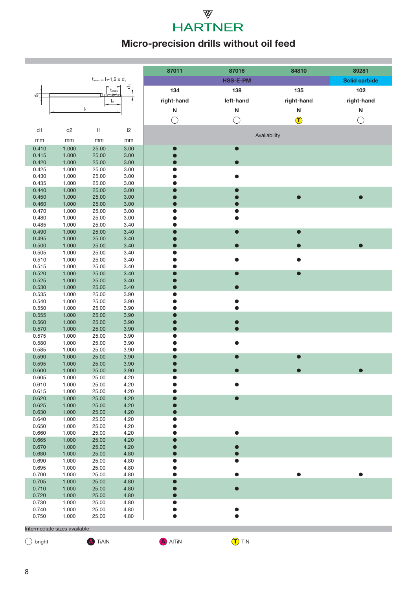#### Micro-precision drills without oil feed

|                |                               |                                  |              | 87011      | 87016           | 84810      | 89281         |
|----------------|-------------------------------|----------------------------------|--------------|------------|-----------------|------------|---------------|
|                |                               | $t_{max} = I_2 - 1.5 \times d_1$ |              |            | <b>HSS-E-PM</b> |            | Solid carbide |
| $\sigma$       |                               | ਠ<br>$t_{\text{max}}$            |              | 134        | 138             | 135        | 102           |
|                |                               | I <sub>2</sub>                   |              | right-hand | left-hand       | right-hand | right-hand    |
|                |                               | I <sub>1</sub>                   |              | ${\sf N}$  | ${\sf N}$       | N          | N             |
|                |                               |                                  |              |            | 0               | $\bigodot$ | $(\quad)$     |
| d1             | d2                            | 1                                | 12           |            |                 |            |               |
| mm             | mm                            | mm                               | mm           |            | Availability    |            |               |
| 0.410          | 1.000                         | 25.00                            | 3.00         |            |                 |            |               |
| 0.415<br>0.420 | 1.000<br>1.000                | 25.00<br>25.00                   | 3.00<br>3.00 |            |                 |            |               |
| 0.425          | 1.000                         | 25.00                            | 3.00         |            |                 |            |               |
| 0.430          | 1.000                         | 25.00                            | 3.00         |            |                 |            |               |
| 0.435<br>0.440 | 1.000<br>1.000                | 25.00<br>25.00                   | 3.00<br>3.00 |            | ●               |            |               |
| 0.450          | 1.000                         | 25.00                            | 3.00         |            |                 | ●          |               |
| 0.460<br>0.470 | 1.000<br>1.000                | 25.00<br>25.00                   | 3.00<br>3.00 |            |                 |            |               |
| 0.480          | 1.000                         | 25.00                            | 3.00         |            |                 |            |               |
| 0.485          | 1.000                         | 25.00                            | 3.40         |            |                 |            |               |
| 0.490<br>0.495 | 1.000<br>1.000                | 25.00<br>25.00                   | 3.40<br>3.40 |            | $\bullet$       | $\bullet$  |               |
| 0.500          | 1.000                         | 25.00                            | 3.40         |            |                 |            |               |
| 0.505<br>0.510 | 1.000<br>1.000                | 25.00<br>25.00                   | 3.40<br>3.40 |            |                 |            |               |
| 0.515          | 1.000                         | 25.00                            | 3.40         |            |                 |            |               |
| 0.520          | 1.000                         | 25.00                            | 3.40         |            |                 | $\bullet$  |               |
| 0.525<br>0.530 | 1.000<br>1.000                | 25.00<br>25.00                   | 3.40<br>3.40 |            |                 |            |               |
| 0.535          | 1.000                         | 25.00                            | 3.90         |            |                 |            |               |
| 0.540          | 1.000                         | 25.00                            | 3.90         |            |                 |            |               |
| 0.550<br>0.555 | 1.000<br>1.000                | 25.00<br>25.00                   | 3.90<br>3.90 |            |                 |            |               |
| 0.560          | 1.000                         | 25.00                            | 3.90         |            |                 |            |               |
| 0.570<br>0.575 | 1.000<br>1.000                | 25.00<br>25.00                   | 3.90<br>3.90 |            |                 |            |               |
| 0.580          | 1.000                         | 25.00                            | 3.90         |            |                 |            |               |
| 0.585          | 1.000                         | 25.00                            | 3.90         |            |                 |            |               |
| 0.590<br>0.595 | 1.000<br>1.000                | 25.00<br>25.00                   | 3.90<br>3.90 |            | $\bullet$       | $\bullet$  |               |
| 0.600          | 1.000                         | 25.00                            | 3.90         |            |                 |            |               |
| 0.605<br>0.610 | 1.000<br>1.000                | 25.00<br>25.00                   | 4.20<br>4.20 |            |                 |            |               |
| 0.615          | 1.000                         | 25.00                            | 4.20         |            |                 |            |               |
| 0.620          | 1.000                         | 25.00                            | 4.20         |            | $\bullet$       |            |               |
| 0.625<br>0.630 | 1.000<br>1.000                | 25.00<br>25.00                   | 4.20<br>4.20 |            |                 |            |               |
| 0.640          | 1.000                         | 25.00                            | 4.20         |            |                 |            |               |
| 0.650          | 1.000                         | 25.00                            | 4.20         |            |                 |            |               |
| 0.660<br>0.665 | 1.000<br>1.000                | 25.00<br>25.00                   | 4.20<br>4.20 |            | $\bullet$       |            |               |
| 0.670          | 1.000                         | 25.00                            | 4.20         |            |                 |            |               |
| 0.680<br>0.690 | 1.000<br>1.000                | 25.00<br>25.00                   | 4.80<br>4.80 |            |                 |            |               |
| 0.695          | 1.000                         | 25.00                            | 4.80         |            |                 |            |               |
| 0.700          | 1.000                         | 25.00                            | 4.80         |            |                 |            |               |
| 0.705<br>0.710 | 1.000<br>1.000                | 25.00<br>25.00                   | 4.80<br>4.80 |            | ●               |            |               |
| 0.720          | 1.000                         | 25.00                            | 4.80         |            |                 |            |               |
| 0.730<br>0.740 | 1.000<br>1.000                | 25.00<br>25.00                   | 4.80<br>4.80 |            |                 |            |               |
| 0.750          | 1.000                         | 25.00                            | 4.80         |            |                 |            |               |
|                | Intermediate sizes available. |                                  |              |            |                 |            |               |
|                |                               |                                  |              |            |                 |            |               |
| bright         |                               | <b>A</b> TIAIN                   |              | A AITIN    | $T$ TiN         |            |               |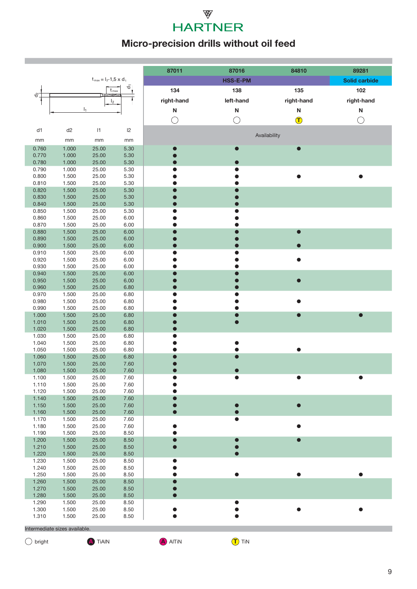#### Micro-precision drills without oil feed

|                |                               |                                  |              | 87011      | 87016           | 84810      | 89281         |
|----------------|-------------------------------|----------------------------------|--------------|------------|-----------------|------------|---------------|
|                |                               | $t_{max} = I_2 - 1.5 \times d_1$ |              |            | <b>HSS-E-PM</b> |            | Solid carbide |
| $\sigma$       |                               | $t_{\text{max}}$                 | ਠ            | 134        | 138             | 135        | 102           |
|                |                               | I <sub>2</sub>                   |              | right-hand | left-hand       | right-hand | right-hand    |
|                |                               | $\mathsf{I}_1$                   |              | N          | N               | N          | N             |
|                |                               |                                  |              | $(\ )$     | $(\quad)$       | $\bigodot$ | ŗ.            |
| d1             | d2                            | 1                                | 2            |            |                 |            |               |
| mm             | mm                            | mm                               | mm           |            | Availability    |            |               |
| 0.760          | 1.000                         | 25.00                            | 5.30         |            |                 |            |               |
| 0.770<br>0.780 | 1.000<br>1.000                | 25.00<br>25.00                   | 5.30<br>5.30 |            |                 |            |               |
| 0.790          | 1.000                         | 25.00                            | 5.30         |            |                 |            |               |
| 0.800          | 1.500                         | 25.00                            | 5.30         |            |                 |            |               |
| 0.810<br>0.820 | 1.500<br>1.500                | 25.00<br>25.00                   | 5.30<br>5.30 |            |                 |            |               |
| 0.830          | 1.500                         | 25.00                            | 5.30         |            |                 |            |               |
| 0.840<br>0.850 | 1.500<br>1.500                | 25.00<br>25.00                   | 5.30<br>5.30 |            |                 |            |               |
| 0.860          | 1.500                         | 25.00                            | 6.00         |            |                 |            |               |
| 0.870          | 1.500                         | 25.00                            | 6.00         |            |                 |            |               |
| 0.880<br>0.890 | 1.500<br>1.500                | 25.00<br>25.00                   | 6.00<br>6.00 |            |                 | $\bullet$  |               |
| 0.900          | 1.500                         | 25.00                            | 6.00         |            |                 |            |               |
| 0.910          | 1.500                         | 25.00                            | 6.00         |            |                 |            |               |
| 0.920<br>0.930 | 1.500<br>1.500                | 25.00<br>25.00                   | 6.00<br>6.00 |            |                 |            |               |
| 0.940          | 1.500                         | 25.00                            | 6.00         |            |                 |            |               |
| 0.950          | 1.500                         | 25.00                            | 6.00         |            |                 |            |               |
| 0.960<br>0.970 | 1.500<br>1.500                | 25.00<br>25.00                   | 6.80<br>6.80 |            |                 |            |               |
| 0.980          | 1.500                         | 25.00                            | 6.80         |            |                 |            |               |
| 0.990<br>1.000 | 1.500<br>1.500                | 25.00<br>25.00                   | 6.80<br>6.80 |            |                 | $\bullet$  | $\bullet$     |
| 1.010          | 1.500                         | 25.00                            | 6.80         |            |                 |            |               |
| 1.020          | 1.500                         | 25.00                            | 6.80         |            |                 |            |               |
| 1.030<br>1.040 | 1.500<br>1.500                | 25.00<br>25.00                   | 6.80<br>6.80 |            |                 |            |               |
| 1.050          | 1.500                         | 25.00                            | 6.80         |            |                 |            |               |
| 1.060          | 1.500                         | 25.00                            | 6.80         |            |                 |            |               |
| 1.070<br>1.080 | 1.500<br>1.500                | 25.00<br>25.00                   | 7.60<br>7.60 |            |                 |            |               |
| 1.100          | 1.500                         | 25.00                            | 7.60         |            |                 |            |               |
| 1.110          | 1.500                         | 25.00                            | 7.60         |            |                 |            |               |
| 1.120<br>1.140 | 1.500<br>1.500                | 25.00<br>25.00                   | 7.60<br>7.60 |            |                 |            |               |
| 1.150          | 1.500                         | 25.00                            | 7.60         |            | $\bullet$       | $\bullet$  |               |
| 1.160<br>1.170 | 1.500<br>1.500                | 25.00<br>25.00                   | 7.60<br>7.60 |            |                 |            |               |
| 1.180          | 1.500                         | 25.00                            | 7.60         |            |                 |            |               |
| 1.190          | 1.500                         | 25.00                            | 8.50         |            |                 |            |               |
| 1.200<br>1.210 | 1.500<br>1.500                | 25.00<br>25.00                   | 8.50<br>8.50 |            |                 |            |               |
| 1.220          | 1.500                         | 25.00                            | 8.50         |            |                 |            |               |
| 1.230          | 1.500                         | 25.00                            | 8.50         |            |                 |            |               |
| 1.240<br>1.250 | 1.500<br>1.500                | 25.00<br>25.00                   | 8.50<br>8.50 |            | $\bullet$       |            |               |
| 1.260          | 1.500                         | 25.00                            | 8.50         |            |                 |            |               |
| 1.270          | 1.500                         | 25.00                            | 8.50         |            |                 |            |               |
| 1.280<br>1.290 | 1.500<br>1.500                | 25.00<br>25.00                   | 8.50<br>8.50 |            |                 |            |               |
| 1.300          | 1.500                         | 25.00                            | 8.50         |            |                 |            |               |
| 1.310          | 1.500                         | 25.00                            | 8.50         |            |                 |            |               |
|                | Intermediate sizes available. |                                  |              |            |                 |            |               |

bright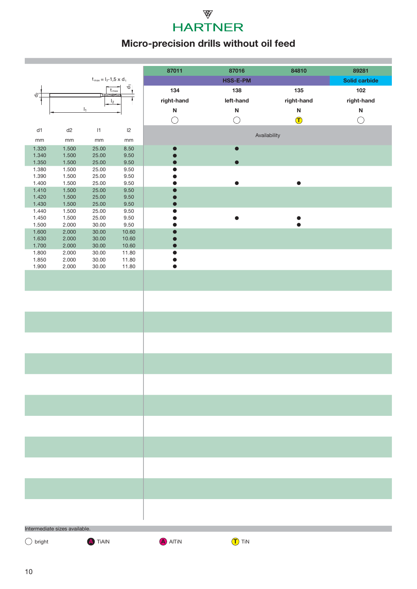## Micro-precision drills without oil feed

|                |                               |                                        |                | 87011      | 87016           | 84810                     | 89281         |
|----------------|-------------------------------|----------------------------------------|----------------|------------|-----------------|---------------------------|---------------|
|                |                               | $\rm t_{max}=I_2\mbox{-}1,5\times d_1$ | ਠ              |            | <b>HSS-E-PM</b> |                           | Solid carbide |
| $\sigma$ .     |                               | $t_{\rm max}$                          |                | 134        | 138             | 135                       | 102           |
|                |                               | I <sub>2</sub>                         |                | right-hand | left-hand       | right-hand                | right-hand    |
|                |                               | $\mathsf{I}_1$                         |                | ${\sf N}$  | ${\sf N}$       | $\boldsymbol{\mathsf{N}}$ | ${\sf N}$     |
|                |                               |                                        |                | ◯          | ◯               | $\bigodot$                | $(\ )$        |
| d1             | d2                            | 1                                      | 12             |            |                 |                           |               |
| mm             | $\mathsf{mm}$                 | $\mathsf{mm}$                          | $\,mm$         |            | Availability    |                           |               |
| 1.320          | 1.500                         | 25.00                                  | 8.50           |            | $\bullet$       |                           |               |
| 1.340<br>1.350 | 1.500<br>1.500                | 25.00<br>25.00                         | 9.50<br>9.50   |            |                 |                           |               |
| 1.380          | 1.500                         | 25.00                                  | 9.50           |            |                 |                           |               |
| 1.390          | 1.500                         | 25.00                                  | 9.50           |            |                 |                           |               |
| 1.400<br>1.410 | 1.500<br>1.500                | 25.00<br>25.00                         | 9.50<br>9.50   |            | ●               | $\bullet$                 |               |
| 1.420          | 1.500                         | 25.00                                  | 9.50           |            |                 |                           |               |
| 1.430          | 1.500                         | 25.00                                  | 9.50           |            |                 |                           |               |
| 1.440<br>1.450 | 1.500<br>1.500                | 25.00<br>25.00                         | 9.50<br>9.50   |            |                 |                           |               |
| 1.500          | 2.000                         | 30.00                                  | 9.50           |            |                 |                           |               |
| 1.600          | 2.000                         | 30.00                                  | 10.60          |            |                 |                           |               |
| 1.630<br>1.700 | 2.000<br>2.000                | 30.00<br>30.00                         | 10.60<br>10.60 |            |                 |                           |               |
| 1.800          | 2.000                         | 30.00                                  | 11.80          |            |                 |                           |               |
| 1.850          | 2.000                         | 30.00                                  | 11.80          |            |                 |                           |               |
| 1.900          | 2.000                         | 30.00                                  | 11.80          | $\bullet$  |                 |                           |               |
|                |                               |                                        |                |            |                 |                           |               |
|                |                               |                                        |                |            |                 |                           |               |
|                |                               |                                        |                |            |                 |                           |               |
|                |                               |                                        |                |            |                 |                           |               |
|                |                               |                                        |                |            |                 |                           |               |
|                |                               |                                        |                |            |                 |                           |               |
|                |                               |                                        |                |            |                 |                           |               |
|                |                               |                                        |                |            |                 |                           |               |
|                |                               |                                        |                |            |                 |                           |               |
|                |                               |                                        |                |            |                 |                           |               |
|                |                               |                                        |                |            |                 |                           |               |
|                |                               |                                        |                |            |                 |                           |               |
|                |                               |                                        |                |            |                 |                           |               |
|                |                               |                                        |                |            |                 |                           |               |
|                |                               |                                        |                |            |                 |                           |               |
|                |                               |                                        |                |            |                 |                           |               |
|                |                               |                                        |                |            |                 |                           |               |
|                |                               |                                        |                |            |                 |                           |               |
|                |                               |                                        |                |            |                 |                           |               |
|                |                               |                                        |                |            |                 |                           |               |
|                |                               |                                        |                |            |                 |                           |               |
|                |                               |                                        |                |            |                 |                           |               |
|                |                               |                                        |                |            |                 |                           |               |
|                |                               |                                        |                |            |                 |                           |               |
|                |                               |                                        |                |            |                 |                           |               |
|                |                               |                                        |                |            |                 |                           |               |
|                | Intermediate sizes available. |                                        |                |            |                 |                           |               |
| ( )<br>bright  |                               | <b>A</b> TIAIN                         |                | A AITIN    | $T$ TiN         |                           |               |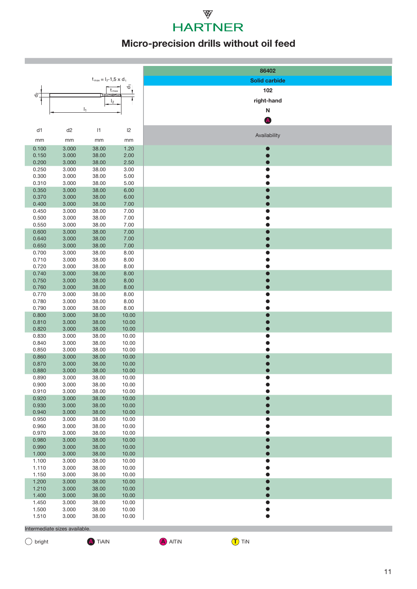#### Micro-precision drills without oil feed

|                |                |                                  |                | 86402         |
|----------------|----------------|----------------------------------|----------------|---------------|
|                |                | $t_{max} = I_2 - 1.5 \times d_1$ |                | Solid carbide |
|                |                | $t_{\text{max}}$                 | ਠ              | 102           |
| $\sigma$       |                |                                  |                |               |
|                |                | I <sub>2</sub>                   |                | right-hand    |
|                |                | I <sub>1</sub>                   |                | N             |
|                |                |                                  |                | A             |
| d1             | d2             | 1                                | 12             |               |
|                |                |                                  |                | Availability  |
| mm             | mm             | mm                               | mm             |               |
| 0.100<br>0.150 | 3.000<br>3.000 | 38.00<br>38.00                   | 1.20<br>2.00   |               |
| 0.200          | 3.000          | 38.00                            | 2.50           |               |
| 0.250          | 3.000          | 38.00                            | 3.00           |               |
| 0.300          | 3.000          | 38.00                            | 5.00           |               |
| 0.310          | 3.000          | 38.00                            | 5.00           |               |
| 0.350<br>0.370 | 3.000<br>3.000 | 38.00<br>38.00                   | 6.00<br>6.00   |               |
| 0.400          | 3.000          | 38.00                            | 7.00           |               |
| 0.450          | 3.000          | 38.00                            | 7.00           |               |
| 0.500          | 3.000          | 38.00                            | 7.00           |               |
| 0.550          | 3.000          | 38.00                            | 7.00           |               |
| 0.600<br>0.640 | 3.000<br>3.000 | 38.00<br>38.00                   | 7.00<br>7.00   |               |
| 0.650          | 3.000          | 38.00                            | 7.00           |               |
| 0.700          | 3.000          | 38.00                            | 8.00           |               |
| 0.710          | 3.000          | 38.00                            | 8.00           |               |
| 0.720          | 3.000          | 38.00                            | 8.00           |               |
| 0.740<br>0.750 | 3.000<br>3.000 | 38.00<br>38.00                   | 8.00<br>8.00   |               |
| 0.760          | 3.000          | 38.00                            | 8.00           |               |
| 0.770          | 3.000          | 38.00                            | 8.00           |               |
| 0.780          | 3.000          | 38.00                            | 8.00           |               |
| 0.790          | 3.000          | 38.00                            | 8.00           |               |
| 0.800<br>0.810 | 3.000<br>3.000 | 38.00<br>38.00                   | 10.00<br>10.00 |               |
| 0.820          | 3.000          | 38.00                            | 10.00          |               |
| 0.830          | 3.000          | 38.00                            | 10.00          |               |
| 0.840          | 3.000          | 38.00                            | 10.00          |               |
| 0.850          | 3.000          | 38.00                            | 10.00          |               |
| 0.860<br>0.870 | 3.000<br>3.000 | 38.00<br>38.00                   | 10.00<br>10.00 |               |
| 0.880          | 3.000          | 38.00                            | 10.00          |               |
| 0.890          | 3.000          | 38.00                            | 10.00          |               |
| 0.900          | 3.000          | 38.00                            | 10.00          |               |
| 0.910          | 3.000          | 38.00                            | 10.00          |               |
| 0.920<br>0.930 | 3.000<br>3.000 | 38.00<br>38.00                   | 10.00<br>10.00 |               |
| 0.940          | 3.000          | 38.00                            | 10.00          |               |
| 0.950          | 3.000          | 38.00                            | 10.00          |               |
| 0.960          | 3.000          | 38.00                            | 10.00          |               |
| 0.970          | 3.000          | 38.00                            | 10.00          |               |
| 0.980<br>0.990 | 3.000<br>3.000 | 38.00<br>38.00                   | 10.00<br>10.00 |               |
| 1.000          | 3.000          | 38.00                            | 10.00          |               |
| 1.100          | 3.000          | 38.00                            | 10.00          |               |
| 1.110          | 3.000          | 38.00                            | 10.00          |               |
| 1.150          | 3.000          | 38.00                            | 10.00          |               |
| 1.200<br>1.210 | 3.000<br>3.000 | 38.00<br>38.00                   | 10.00<br>10.00 |               |
| 1.400          | 3.000          | 38.00                            | 10.00          |               |
| 1.450          | 3.000          | 38.00                            | 10.00          |               |
| 1.500          | 3.000          | 38.00                            | 10.00          |               |
| 1.510          | 3.000          | 38.00                            | 10.00          |               |

Intermediate sizes available.

 $\bigcirc$  bright

**A** TIAIN **A** AITIN **T** TIN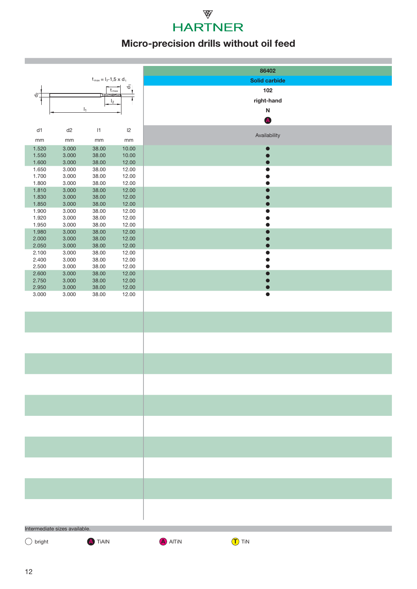## Micro-precision drills without oil feed

| $\rm t_{max}=I_2\mbox{-}1,5\times d_1$<br>Solid carbide<br>ਠ<br>102<br>$t_{\text{max}}$<br>$\sigma$ .<br>right-hand<br>I <sub>2</sub><br>$\mathsf{I}_1$<br>${\sf N}$<br>$\blacktriangle$<br> 1<br>d1<br>d2<br>12<br>Availability<br>$\mathsf{mm}$<br>mm<br>$\mathsf{mm}$<br>$\,mm$<br>1.520<br>3.000<br>38.00<br>10.00<br>1.550<br>3.000<br>38.00<br>10.00<br>1.600<br>3.000<br>38.00<br>12.00<br>38.00<br>12.00<br>1.650<br>3.000<br>1.700<br>3.000<br>38.00<br>12.00<br>1.800<br>3.000<br>38.00<br>12.00<br>1.810<br>3.000<br>38.00<br>12.00<br>1.830<br>3.000<br>38.00<br>12.00<br>1.850<br>3.000<br>38.00<br>12.00<br>1.900<br>12.00<br>3.000<br>38.00<br>1.920<br>3.000<br>38.00<br>12.00<br>1.950<br>3.000<br>38.00<br>12.00<br>1.980<br>3.000<br>38.00<br>12.00<br>38.00<br>2.000<br>3.000<br>12.00<br>2.050<br>3.000<br>38.00<br>12.00<br>2.100<br>3.000<br>38.00<br>12.00<br>2.400<br>38.00<br>3.000<br>12.00<br>2.500<br>3.000<br>38.00<br>12.00<br>2.600<br>3.000<br>38.00<br>12.00<br>2.750<br>3.000<br>38.00<br>12.00<br>12.00<br>2.950<br>3.000<br>38.00<br>3.000<br>12.00<br>3.000<br>38.00<br>$\bullet$<br>Intermediate sizes available.<br>$T$ TiN<br>A AITIN<br><b>A</b> TIAIN<br>$\bigcirc$ bright |  |  |       |
|-----------------------------------------------------------------------------------------------------------------------------------------------------------------------------------------------------------------------------------------------------------------------------------------------------------------------------------------------------------------------------------------------------------------------------------------------------------------------------------------------------------------------------------------------------------------------------------------------------------------------------------------------------------------------------------------------------------------------------------------------------------------------------------------------------------------------------------------------------------------------------------------------------------------------------------------------------------------------------------------------------------------------------------------------------------------------------------------------------------------------------------------------------------------------------------------------------------------------|--|--|-------|
|                                                                                                                                                                                                                                                                                                                                                                                                                                                                                                                                                                                                                                                                                                                                                                                                                                                                                                                                                                                                                                                                                                                                                                                                                       |  |  | 86402 |
|                                                                                                                                                                                                                                                                                                                                                                                                                                                                                                                                                                                                                                                                                                                                                                                                                                                                                                                                                                                                                                                                                                                                                                                                                       |  |  |       |
|                                                                                                                                                                                                                                                                                                                                                                                                                                                                                                                                                                                                                                                                                                                                                                                                                                                                                                                                                                                                                                                                                                                                                                                                                       |  |  |       |
|                                                                                                                                                                                                                                                                                                                                                                                                                                                                                                                                                                                                                                                                                                                                                                                                                                                                                                                                                                                                                                                                                                                                                                                                                       |  |  |       |
|                                                                                                                                                                                                                                                                                                                                                                                                                                                                                                                                                                                                                                                                                                                                                                                                                                                                                                                                                                                                                                                                                                                                                                                                                       |  |  |       |
|                                                                                                                                                                                                                                                                                                                                                                                                                                                                                                                                                                                                                                                                                                                                                                                                                                                                                                                                                                                                                                                                                                                                                                                                                       |  |  |       |
|                                                                                                                                                                                                                                                                                                                                                                                                                                                                                                                                                                                                                                                                                                                                                                                                                                                                                                                                                                                                                                                                                                                                                                                                                       |  |  |       |
|                                                                                                                                                                                                                                                                                                                                                                                                                                                                                                                                                                                                                                                                                                                                                                                                                                                                                                                                                                                                                                                                                                                                                                                                                       |  |  |       |
|                                                                                                                                                                                                                                                                                                                                                                                                                                                                                                                                                                                                                                                                                                                                                                                                                                                                                                                                                                                                                                                                                                                                                                                                                       |  |  |       |
|                                                                                                                                                                                                                                                                                                                                                                                                                                                                                                                                                                                                                                                                                                                                                                                                                                                                                                                                                                                                                                                                                                                                                                                                                       |  |  |       |
|                                                                                                                                                                                                                                                                                                                                                                                                                                                                                                                                                                                                                                                                                                                                                                                                                                                                                                                                                                                                                                                                                                                                                                                                                       |  |  |       |
|                                                                                                                                                                                                                                                                                                                                                                                                                                                                                                                                                                                                                                                                                                                                                                                                                                                                                                                                                                                                                                                                                                                                                                                                                       |  |  |       |
|                                                                                                                                                                                                                                                                                                                                                                                                                                                                                                                                                                                                                                                                                                                                                                                                                                                                                                                                                                                                                                                                                                                                                                                                                       |  |  |       |
|                                                                                                                                                                                                                                                                                                                                                                                                                                                                                                                                                                                                                                                                                                                                                                                                                                                                                                                                                                                                                                                                                                                                                                                                                       |  |  |       |
|                                                                                                                                                                                                                                                                                                                                                                                                                                                                                                                                                                                                                                                                                                                                                                                                                                                                                                                                                                                                                                                                                                                                                                                                                       |  |  |       |
|                                                                                                                                                                                                                                                                                                                                                                                                                                                                                                                                                                                                                                                                                                                                                                                                                                                                                                                                                                                                                                                                                                                                                                                                                       |  |  |       |
|                                                                                                                                                                                                                                                                                                                                                                                                                                                                                                                                                                                                                                                                                                                                                                                                                                                                                                                                                                                                                                                                                                                                                                                                                       |  |  |       |
|                                                                                                                                                                                                                                                                                                                                                                                                                                                                                                                                                                                                                                                                                                                                                                                                                                                                                                                                                                                                                                                                                                                                                                                                                       |  |  |       |
|                                                                                                                                                                                                                                                                                                                                                                                                                                                                                                                                                                                                                                                                                                                                                                                                                                                                                                                                                                                                                                                                                                                                                                                                                       |  |  |       |
|                                                                                                                                                                                                                                                                                                                                                                                                                                                                                                                                                                                                                                                                                                                                                                                                                                                                                                                                                                                                                                                                                                                                                                                                                       |  |  |       |
|                                                                                                                                                                                                                                                                                                                                                                                                                                                                                                                                                                                                                                                                                                                                                                                                                                                                                                                                                                                                                                                                                                                                                                                                                       |  |  |       |
|                                                                                                                                                                                                                                                                                                                                                                                                                                                                                                                                                                                                                                                                                                                                                                                                                                                                                                                                                                                                                                                                                                                                                                                                                       |  |  |       |
|                                                                                                                                                                                                                                                                                                                                                                                                                                                                                                                                                                                                                                                                                                                                                                                                                                                                                                                                                                                                                                                                                                                                                                                                                       |  |  |       |
|                                                                                                                                                                                                                                                                                                                                                                                                                                                                                                                                                                                                                                                                                                                                                                                                                                                                                                                                                                                                                                                                                                                                                                                                                       |  |  |       |
|                                                                                                                                                                                                                                                                                                                                                                                                                                                                                                                                                                                                                                                                                                                                                                                                                                                                                                                                                                                                                                                                                                                                                                                                                       |  |  |       |
|                                                                                                                                                                                                                                                                                                                                                                                                                                                                                                                                                                                                                                                                                                                                                                                                                                                                                                                                                                                                                                                                                                                                                                                                                       |  |  |       |
|                                                                                                                                                                                                                                                                                                                                                                                                                                                                                                                                                                                                                                                                                                                                                                                                                                                                                                                                                                                                                                                                                                                                                                                                                       |  |  |       |
|                                                                                                                                                                                                                                                                                                                                                                                                                                                                                                                                                                                                                                                                                                                                                                                                                                                                                                                                                                                                                                                                                                                                                                                                                       |  |  |       |
|                                                                                                                                                                                                                                                                                                                                                                                                                                                                                                                                                                                                                                                                                                                                                                                                                                                                                                                                                                                                                                                                                                                                                                                                                       |  |  |       |
|                                                                                                                                                                                                                                                                                                                                                                                                                                                                                                                                                                                                                                                                                                                                                                                                                                                                                                                                                                                                                                                                                                                                                                                                                       |  |  |       |
|                                                                                                                                                                                                                                                                                                                                                                                                                                                                                                                                                                                                                                                                                                                                                                                                                                                                                                                                                                                                                                                                                                                                                                                                                       |  |  |       |
|                                                                                                                                                                                                                                                                                                                                                                                                                                                                                                                                                                                                                                                                                                                                                                                                                                                                                                                                                                                                                                                                                                                                                                                                                       |  |  |       |
|                                                                                                                                                                                                                                                                                                                                                                                                                                                                                                                                                                                                                                                                                                                                                                                                                                                                                                                                                                                                                                                                                                                                                                                                                       |  |  |       |
|                                                                                                                                                                                                                                                                                                                                                                                                                                                                                                                                                                                                                                                                                                                                                                                                                                                                                                                                                                                                                                                                                                                                                                                                                       |  |  |       |
|                                                                                                                                                                                                                                                                                                                                                                                                                                                                                                                                                                                                                                                                                                                                                                                                                                                                                                                                                                                                                                                                                                                                                                                                                       |  |  |       |
|                                                                                                                                                                                                                                                                                                                                                                                                                                                                                                                                                                                                                                                                                                                                                                                                                                                                                                                                                                                                                                                                                                                                                                                                                       |  |  |       |
|                                                                                                                                                                                                                                                                                                                                                                                                                                                                                                                                                                                                                                                                                                                                                                                                                                                                                                                                                                                                                                                                                                                                                                                                                       |  |  |       |
|                                                                                                                                                                                                                                                                                                                                                                                                                                                                                                                                                                                                                                                                                                                                                                                                                                                                                                                                                                                                                                                                                                                                                                                                                       |  |  |       |
|                                                                                                                                                                                                                                                                                                                                                                                                                                                                                                                                                                                                                                                                                                                                                                                                                                                                                                                                                                                                                                                                                                                                                                                                                       |  |  |       |
|                                                                                                                                                                                                                                                                                                                                                                                                                                                                                                                                                                                                                                                                                                                                                                                                                                                                                                                                                                                                                                                                                                                                                                                                                       |  |  |       |
|                                                                                                                                                                                                                                                                                                                                                                                                                                                                                                                                                                                                                                                                                                                                                                                                                                                                                                                                                                                                                                                                                                                                                                                                                       |  |  |       |
|                                                                                                                                                                                                                                                                                                                                                                                                                                                                                                                                                                                                                                                                                                                                                                                                                                                                                                                                                                                                                                                                                                                                                                                                                       |  |  |       |
|                                                                                                                                                                                                                                                                                                                                                                                                                                                                                                                                                                                                                                                                                                                                                                                                                                                                                                                                                                                                                                                                                                                                                                                                                       |  |  |       |
|                                                                                                                                                                                                                                                                                                                                                                                                                                                                                                                                                                                                                                                                                                                                                                                                                                                                                                                                                                                                                                                                                                                                                                                                                       |  |  |       |
|                                                                                                                                                                                                                                                                                                                                                                                                                                                                                                                                                                                                                                                                                                                                                                                                                                                                                                                                                                                                                                                                                                                                                                                                                       |  |  |       |
|                                                                                                                                                                                                                                                                                                                                                                                                                                                                                                                                                                                                                                                                                                                                                                                                                                                                                                                                                                                                                                                                                                                                                                                                                       |  |  |       |
|                                                                                                                                                                                                                                                                                                                                                                                                                                                                                                                                                                                                                                                                                                                                                                                                                                                                                                                                                                                                                                                                                                                                                                                                                       |  |  |       |
|                                                                                                                                                                                                                                                                                                                                                                                                                                                                                                                                                                                                                                                                                                                                                                                                                                                                                                                                                                                                                                                                                                                                                                                                                       |  |  |       |
|                                                                                                                                                                                                                                                                                                                                                                                                                                                                                                                                                                                                                                                                                                                                                                                                                                                                                                                                                                                                                                                                                                                                                                                                                       |  |  |       |
|                                                                                                                                                                                                                                                                                                                                                                                                                                                                                                                                                                                                                                                                                                                                                                                                                                                                                                                                                                                                                                                                                                                                                                                                                       |  |  |       |
|                                                                                                                                                                                                                                                                                                                                                                                                                                                                                                                                                                                                                                                                                                                                                                                                                                                                                                                                                                                                                                                                                                                                                                                                                       |  |  |       |
|                                                                                                                                                                                                                                                                                                                                                                                                                                                                                                                                                                                                                                                                                                                                                                                                                                                                                                                                                                                                                                                                                                                                                                                                                       |  |  |       |
|                                                                                                                                                                                                                                                                                                                                                                                                                                                                                                                                                                                                                                                                                                                                                                                                                                                                                                                                                                                                                                                                                                                                                                                                                       |  |  |       |
|                                                                                                                                                                                                                                                                                                                                                                                                                                                                                                                                                                                                                                                                                                                                                                                                                                                                                                                                                                                                                                                                                                                                                                                                                       |  |  |       |
|                                                                                                                                                                                                                                                                                                                                                                                                                                                                                                                                                                                                                                                                                                                                                                                                                                                                                                                                                                                                                                                                                                                                                                                                                       |  |  |       |
|                                                                                                                                                                                                                                                                                                                                                                                                                                                                                                                                                                                                                                                                                                                                                                                                                                                                                                                                                                                                                                                                                                                                                                                                                       |  |  |       |
|                                                                                                                                                                                                                                                                                                                                                                                                                                                                                                                                                                                                                                                                                                                                                                                                                                                                                                                                                                                                                                                                                                                                                                                                                       |  |  |       |
|                                                                                                                                                                                                                                                                                                                                                                                                                                                                                                                                                                                                                                                                                                                                                                                                                                                                                                                                                                                                                                                                                                                                                                                                                       |  |  |       |
|                                                                                                                                                                                                                                                                                                                                                                                                                                                                                                                                                                                                                                                                                                                                                                                                                                                                                                                                                                                                                                                                                                                                                                                                                       |  |  |       |
|                                                                                                                                                                                                                                                                                                                                                                                                                                                                                                                                                                                                                                                                                                                                                                                                                                                                                                                                                                                                                                                                                                                                                                                                                       |  |  |       |
|                                                                                                                                                                                                                                                                                                                                                                                                                                                                                                                                                                                                                                                                                                                                                                                                                                                                                                                                                                                                                                                                                                                                                                                                                       |  |  |       |
|                                                                                                                                                                                                                                                                                                                                                                                                                                                                                                                                                                                                                                                                                                                                                                                                                                                                                                                                                                                                                                                                                                                                                                                                                       |  |  |       |
|                                                                                                                                                                                                                                                                                                                                                                                                                                                                                                                                                                                                                                                                                                                                                                                                                                                                                                                                                                                                                                                                                                                                                                                                                       |  |  |       |
|                                                                                                                                                                                                                                                                                                                                                                                                                                                                                                                                                                                                                                                                                                                                                                                                                                                                                                                                                                                                                                                                                                                                                                                                                       |  |  |       |
|                                                                                                                                                                                                                                                                                                                                                                                                                                                                                                                                                                                                                                                                                                                                                                                                                                                                                                                                                                                                                                                                                                                                                                                                                       |  |  |       |
|                                                                                                                                                                                                                                                                                                                                                                                                                                                                                                                                                                                                                                                                                                                                                                                                                                                                                                                                                                                                                                                                                                                                                                                                                       |  |  |       |
|                                                                                                                                                                                                                                                                                                                                                                                                                                                                                                                                                                                                                                                                                                                                                                                                                                                                                                                                                                                                                                                                                                                                                                                                                       |  |  |       |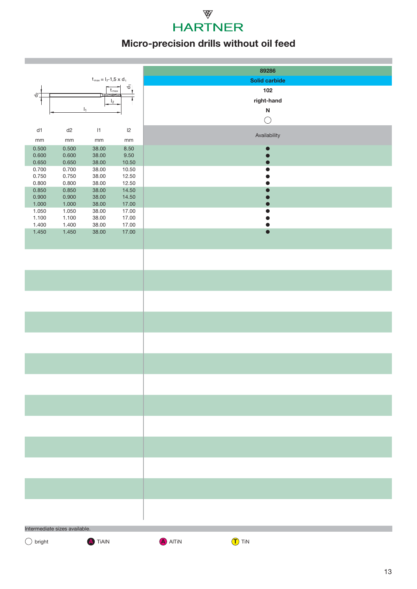## Micro-precision drills without oil feed

|                   |                               |                                        |                                  | 89286              |
|-------------------|-------------------------------|----------------------------------------|----------------------------------|--------------------|
|                   |                               | $\rm t_{max}=I_2\mbox{-}1,5\times d_1$ |                                  | Solid carbide      |
|                   |                               |                                        | ਠ                                |                    |
| $\sigma$ .        |                               |                                        | $t_{\scriptscriptstyle \sf max}$ | 102                |
|                   |                               | I <sub>2</sub>                         |                                  | right-hand         |
|                   |                               | $\mathsf{I}_1$                         |                                  |                    |
|                   |                               |                                        |                                  | ${\sf N}$          |
|                   |                               |                                        |                                  | ∩                  |
| d1                | d2                            | $\vert 1 \vert$                        | 2                                |                    |
|                   |                               |                                        |                                  | Availability       |
| $\mathsf{mm}$     | $\mathsf{mm}$                 | $\mathsf{mm}$                          | mm                               |                    |
| 0.500             | 0.500                         | 38.00                                  | 8.50                             |                    |
| 0.600             | 0.600                         | 38.00                                  | 9.50                             |                    |
| 0.650             | 0.650                         | 38.00                                  | 10.50                            |                    |
| 0.700             | 0.700                         | 38.00                                  | 10.50                            |                    |
| 0.750             | 0.750                         | 38.00                                  | 12.50                            |                    |
| 0.800             | 0.800                         | 38.00                                  | 12.50                            |                    |
| 0.850             | 0.850                         | 38.00                                  | 14.50                            |                    |
| 0.900             | 0.900                         | 38.00                                  | 14.50                            |                    |
| 1.000             | 1.000                         | 38.00                                  | 17.00                            |                    |
| 1.050             | 1.050                         | 38.00                                  | 17.00                            | ●                  |
| 1.100             | 1.100                         | 38.00                                  | 17.00                            |                    |
| 1.400             | 1.400                         | 38.00                                  | 17.00                            | 0                  |
| 1.450             | 1.450                         | 38.00                                  | 17.00                            | $\bullet$          |
|                   |                               |                                        |                                  |                    |
|                   |                               |                                        |                                  |                    |
|                   |                               |                                        |                                  |                    |
|                   |                               |                                        |                                  |                    |
|                   |                               |                                        |                                  |                    |
|                   |                               |                                        |                                  |                    |
|                   |                               |                                        |                                  |                    |
|                   |                               |                                        |                                  |                    |
|                   |                               |                                        |                                  |                    |
|                   |                               |                                        |                                  |                    |
|                   |                               |                                        |                                  |                    |
|                   |                               |                                        |                                  |                    |
|                   |                               |                                        |                                  |                    |
|                   |                               |                                        |                                  |                    |
|                   |                               |                                        |                                  |                    |
|                   |                               |                                        |                                  |                    |
|                   |                               |                                        |                                  |                    |
|                   |                               |                                        |                                  |                    |
|                   |                               |                                        |                                  |                    |
|                   |                               |                                        |                                  |                    |
|                   |                               |                                        |                                  |                    |
|                   |                               |                                        |                                  |                    |
|                   |                               |                                        |                                  |                    |
|                   |                               |                                        |                                  |                    |
|                   |                               |                                        |                                  |                    |
|                   |                               |                                        |                                  |                    |
|                   |                               |                                        |                                  |                    |
|                   |                               |                                        |                                  |                    |
|                   |                               |                                        |                                  |                    |
|                   |                               |                                        |                                  |                    |
|                   |                               |                                        |                                  |                    |
|                   |                               |                                        |                                  |                    |
|                   |                               |                                        |                                  |                    |
|                   |                               |                                        |                                  |                    |
|                   |                               |                                        |                                  |                    |
|                   |                               |                                        |                                  |                    |
|                   |                               |                                        |                                  |                    |
|                   |                               |                                        |                                  |                    |
|                   |                               |                                        |                                  |                    |
|                   |                               |                                        |                                  |                    |
|                   |                               |                                        |                                  |                    |
|                   | Intermediate sizes available. |                                        |                                  |                    |
|                   |                               |                                        |                                  |                    |
| $\bigcirc$ bright |                               | <b>A</b> TIAIN                         |                                  | $T$ TiN<br>A AITIN |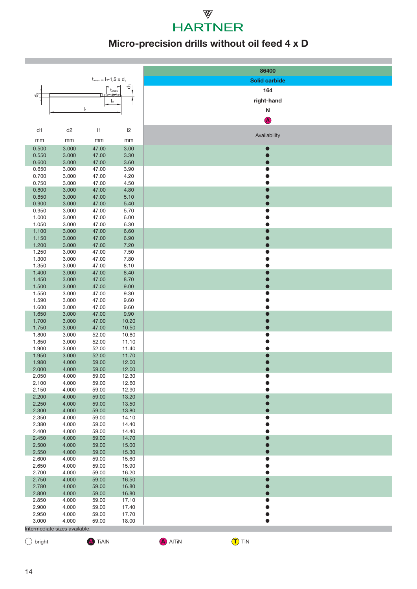## $\overline{\mathscr{C}}$ **HARTNER**

#### Micro-precision drills without oil feed 4 x D

|                   |                                        |                                  |                |                           | 86400                |
|-------------------|----------------------------------------|----------------------------------|----------------|---------------------------|----------------------|
|                   |                                        | $t_{max} = I_2 - 1.5 \times d_1$ |                |                           | <b>Solid carbide</b> |
|                   |                                        | $t_{\text{max}}$                 | ರ              |                           | 164                  |
| $\sigma$          |                                        | I <sub>2</sub>                   |                |                           | right-hand           |
|                   |                                        | I <sub>1</sub>                   |                |                           | N                    |
|                   |                                        |                                  |                |                           |                      |
|                   |                                        |                                  |                |                           | $({\bf A})$          |
| d1                | d2                                     | 1                                | 12             |                           | Availability         |
| mm                | mm                                     | mm                               | mm             |                           |                      |
| 0.500             | 3.000                                  | 47.00                            | 3.00           |                           |                      |
| 0.550<br>0.600    | 3.000<br>3.000                         | 47.00<br>47.00                   | 3.30<br>3.60   |                           |                      |
| 0.650             | 3.000                                  | 47.00                            | 3.90           |                           |                      |
| 0.700             | 3.000                                  | 47.00                            | 4.20           |                           |                      |
| 0.750             | 3.000                                  | 47.00                            | 4.50           |                           |                      |
| 0.800<br>0.850    | 3.000<br>3.000                         | 47.00<br>47.00                   | 4.80<br>5.10   |                           |                      |
| 0.900             | 3.000                                  | 47.00                            | 5.40           |                           |                      |
| 0.950             | 3.000                                  | 47.00                            | 5.70           |                           |                      |
| 1.000             | 3.000                                  | 47.00                            | 6.00           |                           |                      |
| 1.050<br>1.100    | 3.000<br>3.000                         | 47.00<br>47.00                   | 6.30<br>6.60   |                           |                      |
| 1.150             | 3.000                                  | 47.00                            | 6.90           |                           |                      |
| 1.200             | 3.000                                  | 47.00                            | 7.20           |                           |                      |
| 1.250             | 3.000                                  | 47.00                            | 7.50           |                           |                      |
| 1.300<br>1.350    | 3.000<br>3.000                         | 47.00<br>47.00                   | 7.80<br>8.10   |                           |                      |
| 1.400             | 3.000                                  | 47.00                            | 8.40           |                           |                      |
| 1.450             | 3.000                                  | 47.00                            | 8.70           |                           |                      |
| 1.500<br>1.550    | 3.000<br>3.000                         | 47.00                            | 9.00<br>9.30   |                           |                      |
| 1.590             | 3.000                                  | 47.00<br>47.00                   | 9.60           |                           |                      |
| 1.600             | 3.000                                  | 47.00                            | 9.60           |                           |                      |
| 1.650             | 3.000                                  | 47.00                            | 9.90           |                           |                      |
| 1.700<br>1.750    | 3.000<br>3.000                         | 47.00<br>47.00                   | 10.20<br>10.50 |                           |                      |
| 1.800             | 3.000                                  | 52.00                            | 10.80          |                           |                      |
| 1.850             | 3.000                                  | 52.00                            | 11.10          |                           |                      |
| 1.900             | 3.000                                  | 52.00                            | 11.40          |                           |                      |
| 1.950<br>1.980    | 3.000<br>4.000                         | 52.00<br>59.00                   | 11.70<br>12.00 |                           |                      |
| 2.000             | 4.000                                  | 59.00                            | 12.00          |                           |                      |
| 2.050             | 4.000                                  | 59.00                            | 12.30          |                           |                      |
| 2.100             | 4.000                                  | 59.00                            | 12.60          |                           |                      |
| 2.150<br>2.200    | 4.000<br>4.000                         | 59.00<br>59.00                   | 12.90<br>13.20 |                           |                      |
| 2.250             | 4.000                                  | 59.00                            | 13.50          |                           |                      |
| 2.300             | 4.000                                  | 59.00                            | 13.80          |                           |                      |
| 2.350<br>2.380    | 4.000<br>4.000                         | 59.00<br>59.00                   | 14.10<br>14.40 |                           |                      |
| 2.400             | 4.000                                  | 59.00                            | 14.40          |                           |                      |
| 2.450             | 4.000                                  | 59.00                            | 14.70          |                           |                      |
| 2.500             | 4.000                                  | 59.00                            | 15.00          |                           |                      |
| 2.550<br>2.600    | 4.000<br>4.000                         | 59.00<br>59.00                   | 15.30<br>15.60 |                           |                      |
| 2.650             | 4.000                                  | 59.00                            | 15.90          |                           |                      |
| 2.700             | 4.000                                  | 59.00                            | 16.20          |                           |                      |
| 2.750             | 4.000                                  | 59.00                            | 16.50          |                           |                      |
| 2.780<br>2.800    | 4.000<br>4.000                         | 59.00<br>59.00                   | 16.80<br>16.80 |                           |                      |
| 2.850             | 4.000                                  | 59.00                            | 17.10          |                           |                      |
| 2.900             | 4.000                                  | 59.00                            | 17.40          |                           |                      |
| 2.950             | 4.000                                  | 59.00                            | 17.70          |                           |                      |
| 3.000             | 4.000<br>Intermediate sizes available. | 59.00                            | 18.00          |                           |                      |
|                   |                                        |                                  |                |                           |                      |
| $\bigcirc$ bright |                                        | <b>A</b> TIAIN                   |                | $\bigcirc$ TiN<br>A AITIN |                      |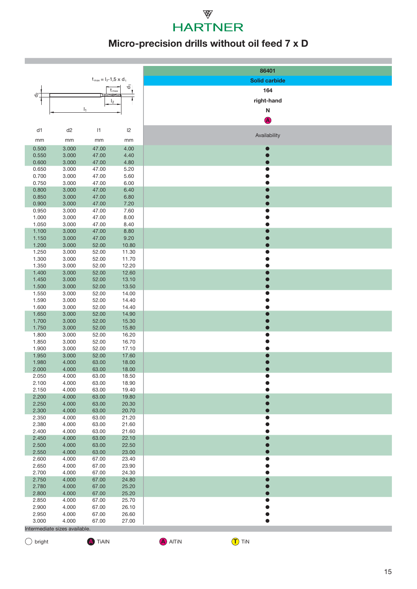## $\overline{\mathscr{C}}$ **HARTNER**

#### Micro-precision drills without oil feed 7 x D

|                |                               |                                  |                | 86401                    |
|----------------|-------------------------------|----------------------------------|----------------|--------------------------|
|                |                               | $t_{max} = I_2 - 1.5 \times d_1$ |                | Solid carbide            |
|                |                               | $t_{\text{max}}$                 | Ò              | 164                      |
| δ,             |                               |                                  |                |                          |
|                |                               | I <sub>2</sub>                   |                | right-hand               |
|                |                               | I <sub>1</sub>                   |                | N                        |
|                |                               |                                  |                | $\left( {\bf A} \right)$ |
| d1             | d2                            | 1                                | 2              |                          |
|                |                               |                                  |                | Availability             |
| mm             | mm                            | mm                               | mm             |                          |
| 0.500          | 3.000                         | 47.00                            | 4.00           |                          |
| 0.550<br>0.600 | 3.000<br>3.000                | 47.00<br>47.00                   | 4.40<br>4.80   |                          |
| 0.650          | 3.000                         | 47.00                            | 5.20           |                          |
| 0.700          | 3.000                         | 47.00                            | 5.60           |                          |
| 0.750          | 3.000                         | 47.00                            | 6.00           |                          |
| 0.800          | 3.000                         | 47.00                            | 6.40           |                          |
| 0.850          | 3.000                         | 47.00                            | 6.80           |                          |
| 0.900          | 3.000                         | 47.00                            | 7.20           |                          |
| 0.950          | 3.000                         | 47.00                            | 7.60           |                          |
| 1.000<br>1.050 | 3.000<br>3.000                | 47.00<br>47.00                   | 8.00<br>8.40   |                          |
| 1.100          | 3.000                         | 47.00                            | 8.80           |                          |
| 1.150          | 3.000                         | 47.00                            | 9.20           |                          |
| 1.200          | 3.000                         | 52.00                            | 10.80          |                          |
| 1.250          | 3.000                         | 52.00                            | 11.30          |                          |
| 1.300          | 3.000                         | 52.00                            | 11.70          |                          |
| 1.350          | 3.000                         | 52.00                            | 12.20          |                          |
| 1.400          | 3.000                         | 52.00                            | 12.60          |                          |
| 1.450<br>1.500 | 3.000<br>3.000                | 52.00<br>52.00                   | 13.10<br>13.50 |                          |
| 1.550          | 3.000                         | 52.00                            | 14.00          |                          |
| 1.590          | 3.000                         | 52.00                            | 14.40          |                          |
| 1.600          | 3.000                         | 52.00                            | 14.40          |                          |
| 1.650          | 3.000                         | 52.00                            | 14.90          |                          |
| 1.700          | 3.000                         | 52.00                            | 15.30          |                          |
| 1.750          | 3.000                         | 52.00                            | 15.80          |                          |
| 1.800          | 3.000                         | 52.00                            | 16.20          |                          |
| 1.850<br>1.900 | 3.000<br>3.000                | 52.00<br>52.00                   | 16.70<br>17.10 |                          |
| 1.950          | 3.000                         | 52.00                            | 17.60          |                          |
| 1.980          | 4.000                         | 63.00                            | 18.00          |                          |
| 2.000          | 4.000                         | 63.00                            | 18.00          |                          |
| 2.050          | 4.000                         | 63.00                            | 18.50          |                          |
| 2.100          | 4.000                         | 63.00                            | 18.90          |                          |
| 2.150          | 4.000                         | 63.00                            | 19.40          |                          |
| 2.200<br>2.250 | 4.000<br>4.000                | 63.00                            | 19.80          |                          |
| 2.300          | 4.000                         | 63.00<br>63.00                   | 20.30<br>20.70 |                          |
| 2.350          | 4.000                         | 63.00                            | 21.20          |                          |
| 2.380          | 4.000                         | 63.00                            | 21.60          |                          |
| 2.400          | 4.000                         | 63.00                            | 21.60          |                          |
| 2.450          | 4.000                         | 63.00                            | 22.10          |                          |
| 2.500          | 4.000                         | 63.00                            | 22.50          |                          |
| 2.550          | 4.000                         | 63.00                            | 23.00          |                          |
| 2.600<br>2.650 | 4.000<br>4.000                | 67.00<br>67.00                   | 23.40<br>23.90 |                          |
| 2.700          | 4.000                         | 67.00                            | 24.30          |                          |
| 2.750          | 4.000                         | 67.00                            | 24.80          |                          |
| 2.780          | 4.000                         | 67.00                            | 25.20          |                          |
| 2.800          | 4.000                         | 67.00                            | 25.20          |                          |
| 2.850          | 4.000                         | 67.00                            | 25.70          |                          |
| 2.900          | 4.000                         | 67.00                            | 26.10          |                          |
| 2.950          | 4.000                         | 67.00                            | 26.60          |                          |
| 3.000          | 4.000                         | 67.00                            | 27.00          |                          |
|                | Intermediate sizes available. |                                  |                |                          |

**A** TIAIN **A** ALTIN **T** TIN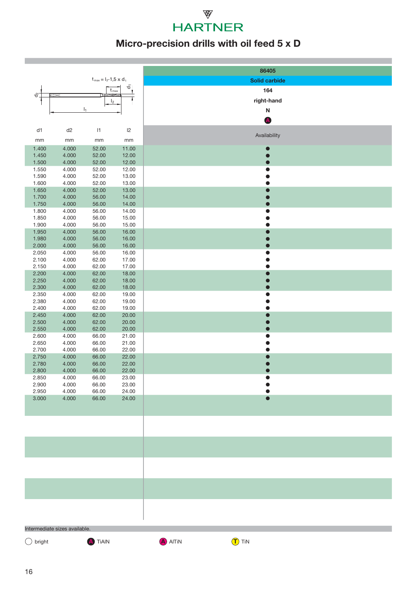#### Micro-precision drills with oil feed 5 x D

|                   |                               |                                        |                | 86405                   |
|-------------------|-------------------------------|----------------------------------------|----------------|-------------------------|
|                   |                               | $\rm t_{max}=I_2\mbox{-}1,5\times d_1$ |                | Solid carbide           |
|                   |                               | $t_{\text{max}}$                       | ਠ              | 164                     |
| $\sigma$          | $\rightarrow$                 |                                        |                |                         |
|                   |                               | I <sub>2</sub>                         |                | right-hand              |
|                   |                               | I۱                                     |                | ${\sf N}$               |
|                   |                               |                                        |                | A                       |
| d1                | d2                            | 1                                      | 12             |                         |
|                   |                               |                                        |                | Availability            |
| mm                | mm                            | $\mathsf{mm}$                          | mm             |                         |
| 1.400<br>1.450    | 4.000<br>4.000                | 52.00<br>52.00                         | 11.00<br>12.00 |                         |
| 1.500             | 4.000                         | 52.00                                  | 12.00          |                         |
| 1.550             | 4.000                         | 52.00                                  | 12.00          |                         |
| 1.590             | 4.000                         | 52.00                                  | 13.00          |                         |
| 1.600             | 4.000                         | 52.00                                  | 13.00          |                         |
| 1.650             | 4.000                         | 52.00                                  | 13.00          |                         |
| 1.700<br>1.750    | 4.000<br>4.000                | 56.00<br>56.00                         | 14.00<br>14.00 |                         |
| 1.800             | 4.000                         | 56.00                                  | 14.00          |                         |
| 1.850             | 4.000                         | 56.00                                  | 15.00          |                         |
| 1.900             | 4.000                         | 56.00                                  | 15.00          |                         |
| 1.950             | 4.000                         | 56.00                                  | 16.00          |                         |
| 1.980             | 4.000                         | 56.00                                  | 16.00          |                         |
| 2.000             | 4.000                         | 56.00                                  | 16.00          |                         |
| 2.050<br>2.100    | 4.000<br>4.000                | 56.00<br>62.00                         | 16.00<br>17.00 |                         |
| 2.150             | 4.000                         | 62.00                                  | 17.00          |                         |
| 2.200             | 4.000                         | 62.00                                  | 18.00          |                         |
| 2.250             | 4.000                         | 62.00                                  | 18.00          |                         |
| 2.300             | 4.000                         | 62.00                                  | 18.00          |                         |
| 2.350             | 4.000                         | 62.00                                  | 19.00          |                         |
| 2.380             | 4.000                         | 62.00                                  | 19.00          |                         |
| 2.400             | 4.000                         | 62.00                                  | 19.00          |                         |
| 2.450<br>2.500    | 4.000<br>4.000                | 62.00<br>62.00                         | 20.00<br>20.00 |                         |
| 2.550             | 4.000                         | 62.00                                  | 20.00          |                         |
| 2.600             | 4.000                         | 66.00                                  | 21.00          |                         |
| 2.650             | 4.000                         | 66.00                                  | 21.00          |                         |
| 2.700             | 4.000                         | 66.00                                  | 22.00          |                         |
| 2.750             | 4.000                         | 66.00                                  | 22.00          |                         |
| 2.780<br>2.800    | 4.000<br>4.000                | 66.00<br>66.00                         | 22.00<br>22.00 |                         |
| 2.850             | 4.000                         | 66.00                                  | 23.00          |                         |
| 2.900             | 4.000                         | 66.00                                  | 23.00          |                         |
| 2.950             | 4.000                         | 66.00                                  | 24.00          |                         |
| 3.000             | 4.000                         | 66.00                                  | 24.00          | $\bullet$               |
|                   |                               |                                        |                |                         |
|                   |                               |                                        |                |                         |
|                   |                               |                                        |                |                         |
|                   |                               |                                        |                |                         |
|                   |                               |                                        |                |                         |
|                   |                               |                                        |                |                         |
|                   |                               |                                        |                |                         |
|                   |                               |                                        |                |                         |
|                   |                               |                                        |                |                         |
|                   |                               |                                        |                |                         |
|                   |                               |                                        |                |                         |
|                   |                               |                                        |                |                         |
|                   |                               |                                        |                |                         |
|                   |                               |                                        |                |                         |
|                   |                               |                                        |                |                         |
|                   | Intermediate sizes available. |                                        |                |                         |
| $\bigcirc$ bright |                               | <b>A</b> TIAIN                         |                | <b>T</b> TIN<br>A AITIN |
|                   |                               |                                        |                |                         |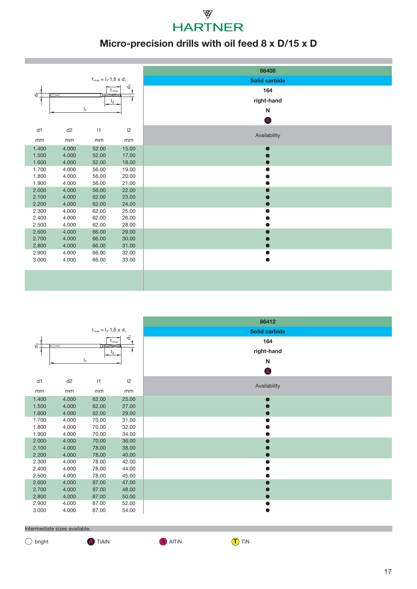#### Micro-precision drills with oil feed 8 x D/15 x D

|                |                |                                  |                       | 86408         |
|----------------|----------------|----------------------------------|-----------------------|---------------|
|                |                | $t_{max} = I_2 - 1.5 \times d_1$ |                       | Solid carbide |
|                |                |                                  | ਠ<br>$t_{\text{max}}$ | 164           |
| $\sigma$       | $\approx$      | <b>INSISTENCE</b>                | I <sub>2</sub>        | right-hand    |
|                |                | I1                               |                       |               |
|                |                |                                  |                       | N             |
|                |                |                                  |                       | A             |
| d1             | d2             | 1                                | $ 2\rangle$           |               |
| mm             | mm             | mm                               | mm                    | Availability  |
| 1.400          | 4.000          | 52.00                            | 15.00                 |               |
| 1.500          | 4.000          | 52.00                            | 17.00                 |               |
| 1.600          | 4.000          | 52.00                            | 18.00                 |               |
| 1.700          | 4.000          | 56.00                            | 19.00                 |               |
| 1.800          | 4.000          | 56.00                            | 20.00                 |               |
| 1.900          | 4.000          | 56.00                            | 21.00                 |               |
| 2.000          | 4.000          | 56.00                            | 22.00                 |               |
| 2.100          | 4.000          | 62.00                            | 23.00                 |               |
| 2.200          | 4.000          | 62.00                            | 24.00                 |               |
| 2.300          | 4.000          | 62.00                            | 25.00                 |               |
| 2.400          | 4.000          | 62.00                            | 26.00                 |               |
| 2.500          | 4.000          | 62.00                            | 28.00                 |               |
| 2.600          | 4.000          | 66.00                            | 29.00                 |               |
| 2.700          | 4.000          | 66.00                            | 30.00                 |               |
| 2.800<br>2.900 | 4.000<br>4.000 | 66.00<br>66.00                   | 31.00<br>32.00        |               |
| 3.000          | 4.000          | 66.00                            | 33.00                 |               |
|                |                |                                  |                       |               |
|                |                |                                  |                       |               |
|                |                |                                  |                       |               |
|                |                |                                  |                       |               |



Intermediate sizes available.

bright

**A** TIAIN **A** AITIN **T** TIN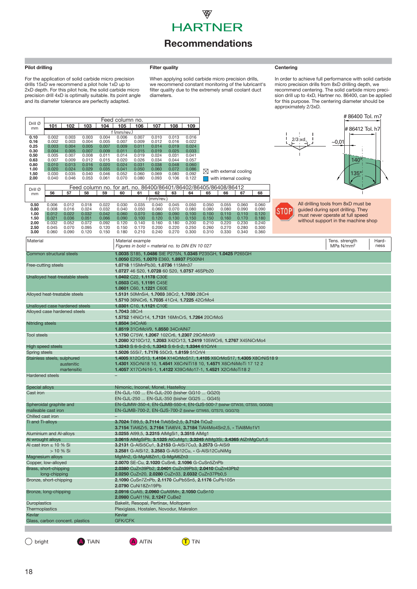#### $\overline{\mathscr{W}}$ **HARTNER** Recommendations

#### Pilot drilling

#### Filter quality

For the application of solid carbide micro precision drills 15xD we recommend a pilot hole 1xD up to 2xD depth. For this pilot hole, the solid carbide micro precision drill 4xD is optimally suitable. Its point angle and its diameter tolerance are perfectly adapted.

When applying solid carbide micro precision drills, we recommend constant monitoring of the lubricant's filter quality due to the extremely small coolant duct diameters.

#### **Centering**

In order to achieve full performance with solid carbide micro precision drills from 8xD drilling depth, we recommend centering. The solid carbide micro precision drill up to 4xD, Hartner no. 86400, can be applied for this purpose. The centering diameter should be approximately 2/3xD.

|                                                  |                |                |                 |                | Feed column no.                                                                                                                                                                                    |                                                                                  |                |                |                |       |                           |       |                                                                         |             |           | #86400 Tol. m7                      |       |  |
|--------------------------------------------------|----------------|----------------|-----------------|----------------|----------------------------------------------------------------------------------------------------------------------------------------------------------------------------------------------------|----------------------------------------------------------------------------------|----------------|----------------|----------------|-------|---------------------------|-------|-------------------------------------------------------------------------|-------------|-----------|-------------------------------------|-------|--|
| Drill Ø                                          | 101            | 102            | 103             | 104            | 105                                                                                                                                                                                                | 106                                                                              | 107            | 108            | 109            |       |                           |       |                                                                         |             |           |                                     |       |  |
| mm                                               |                |                |                 |                | f (mm/rev.)                                                                                                                                                                                        |                                                                                  |                |                |                |       |                           |       |                                                                         |             |           | #86412 Tol. h7                      |       |  |
| 0.10                                             | 0.002          | 0.003          | 0.003           | 0.004          | 0.006                                                                                                                                                                                              | 0.007                                                                            | 0.010          | 0.013          | 0.016          |       |                           |       |                                                                         |             | $2/3$  xd |                                     |       |  |
| 0.16<br>0.25                                     | 0.002<br>0.003 | 0.003<br>0.004 | 0.004<br>0.005  | 0.005<br>0.007 | 0.007<br>0.009                                                                                                                                                                                     | 0.009<br>0.011                                                                   | 0.012<br>0.014 | 0.016<br>0.019 | 0.022<br>0.024 |       |                           |       |                                                                         |             |           | $-0,01$                             |       |  |
| 0.30                                             | 0.004          | 0.005          | 0.007           | 0.009          | 0.011                                                                                                                                                                                              | 0.015                                                                            | 0.019          | 0.025          | 0.033          |       |                           |       |                                                                         |             |           |                                     |       |  |
| 0.50                                             | 0.005          | 0.007          | 0.008           | 0.011          | 0.014                                                                                                                                                                                              | 0.019                                                                            | 0.024          | 0.031          | 0.041          |       |                           |       |                                                                         |             |           |                                     |       |  |
| 0.63                                             | 0.007          | 0.009          | 0.012           | 0.015          | 0.020                                                                                                                                                                                              | 0.026                                                                            | 0.034          | 0.044          | 0.057          |       |                           |       |                                                                         |             |           | 140 <sup>°</sup>                    |       |  |
| 0.80<br>1.00                                     | 0.010<br>0.020 | 0.013<br>0.024 | 0.016<br>0.029  | 0.020<br>0.035 | 0.024<br>0.041                                                                                                                                                                                     | 0.031<br>0.050                                                                   | 0.038<br>0.060 | 0.048<br>0.072 | 0.060<br>0.086 |       |                           |       |                                                                         |             |           |                                     |       |  |
| 1.50                                             | 0.030          | 0.035          | 0.040           | 0.046          | 0.052                                                                                                                                                                                              | 0.060                                                                            | 0.069          | 0.080          | 0.092          |       | $[$ with external cooling |       |                                                                         |             |           | 135°                                |       |  |
| 2.00                                             | 0.040          | 0.046          | 0.053           | 0.061          | 0.070                                                                                                                                                                                              | 0.080                                                                            | 0.093          | 0.106          | 0.122          |       | with internal cooling     |       |                                                                         |             |           |                                     |       |  |
|                                                  |                |                | Feed column no. |                |                                                                                                                                                                                                    | for art. no. 86400/86401/86402/86405/86408/86412                                 |                |                |                |       |                           |       |                                                                         |             |           |                                     |       |  |
| Drill Ø<br>mm                                    | 56             | 57             | 58              | 59             | 60                                                                                                                                                                                                 | 61                                                                               | 62             | 63             | 64             | 65    | 66                        | 67    | 68                                                                      |             |           |                                     |       |  |
|                                                  |                |                |                 |                |                                                                                                                                                                                                    |                                                                                  | f $(mm$ /rev.) |                |                |       |                           |       |                                                                         |             |           |                                     |       |  |
| 0.50                                             | 0.006          | 0.012          | 0.018           | 0.022          | 0.030                                                                                                                                                                                              | 0.035                                                                            | 0.040          | 0.045          | 0.050          | 0.050 | 0.055                     | 0.060 | 0.060                                                                   |             |           | All drilling tools from 8xD must be |       |  |
| 0.80                                             | 0.008          | 0.016          | 0.024           | 0.032          | 0.040                                                                                                                                                                                              | 0.050                                                                            | 0.060          | 0.070          | 0.080          | 0.080 | 0.080                     | 0.090 | 0.090                                                                   | <b>STOP</b> |           | guided during spot drilling. They   |       |  |
| 1.00<br>1.50                                     | 0.012<br>0.021 | 0.022<br>0.036 | 0.032<br>0.051  | 0.042<br>0.066 | 0.070<br>0.090<br>0.100<br>0.060<br>0.080<br>0.100<br>0.110<br>0.110<br>0.120<br>must never operate at full speed<br>0.090<br>0.100<br>0.130<br>0.150<br>0.150<br>0.160<br>0.170<br>0.180<br>0.120 |                                                                                  |                |                |                |       |                           |       |                                                                         |             |           |                                     |       |  |
| 2.00                                             | 0.032          | 0.052          | 0.072           | 0.092          | 0.120                                                                                                                                                                                              | 0.140                                                                            | 0.160          | 0.180          | 0.200          | 0.210 | 0.220                     | 0.230 | 0.240                                                                   |             |           | without support in the machine shop |       |  |
| 2.50                                             | 0.045          | 0.070          | 0.095           | 0.120          | 0.150                                                                                                                                                                                              | 0.170                                                                            | 0.200          | 0.220          | 0.250          | 0.260 | 0.270                     | 0.280 | 0.300                                                                   |             |           |                                     |       |  |
| 3.00                                             | 0.060          | 0.090          | 0.120           | 0.150          | 0.180                                                                                                                                                                                              | 0.210                                                                            | 0.240          | 0.270          | 0.300          | 0.310 | 0.330                     | 0.340 | 0.360                                                                   |             |           |                                     |       |  |
| Material                                         |                |                |                 |                |                                                                                                                                                                                                    | Material example                                                                 |                |                |                |       |                           |       |                                                                         |             |           | Tens. strength                      | Hard- |  |
|                                                  |                |                |                 |                |                                                                                                                                                                                                    | Figures in bold = material no. to DIN EN 10 027                                  |                |                |                |       |                           |       |                                                                         |             |           | MPa N/mm <sup>2</sup>               | ness  |  |
| Common structural steels                         |                |                |                 |                |                                                                                                                                                                                                    | 1.0035 S185, 1.0486 StE P275N, 1.0345 P235GH, 1.0425 P265GH                      |                |                |                |       |                           |       |                                                                         |             |           |                                     |       |  |
|                                                  |                |                |                 |                |                                                                                                                                                                                                    | 1.0050 E295, 1.0070 E360, 1.8937 P500NH                                          |                |                |                |       |                           |       |                                                                         |             |           |                                     |       |  |
| Free-cutting steels                              |                |                |                 |                |                                                                                                                                                                                                    | 1.0718 11SMnPb30, 1.0736 115Mn37<br>1.0727 46 S20, 1.0728 60 S20, 1.0757 46SPb20 |                |                |                |       |                           |       |                                                                         |             |           |                                     |       |  |
| Unalloyed heat-treatable steels                  |                |                |                 |                |                                                                                                                                                                                                    |                                                                                  |                |                |                |       |                           |       |                                                                         |             |           |                                     |       |  |
|                                                  |                |                |                 |                | 1.0402 C22, 1.1178 C30E<br>1.0503 C45, 1.1191 C45E                                                                                                                                                 |                                                                                  |                |                |                |       |                           |       |                                                                         |             |           |                                     |       |  |
|                                                  |                |                |                 |                |                                                                                                                                                                                                    | 1.0601 C60, 1.1221 C60E                                                          |                |                |                |       |                           |       |                                                                         |             |           |                                     |       |  |
| Alloyed heat-treatable steels                    |                |                |                 |                | 1.5131 50MnSi4, 1.7003 38Cr2, 1.7030 28Cr4                                                                                                                                                         |                                                                                  |                |                |                |       |                           |       |                                                                         |             |           |                                     |       |  |
|                                                  |                |                |                 |                |                                                                                                                                                                                                    | 1.5710 36NiCr6, 1.7035 41Cr4, 1.7225 42CrMo4                                     |                |                |                |       |                           |       |                                                                         |             |           |                                     |       |  |
| Unalloyed case hardened steels                   |                |                |                 |                |                                                                                                                                                                                                    | 1.0301 C10, 1.1121 C10E                                                          |                |                |                |       |                           |       |                                                                         |             |           |                                     |       |  |
| Alloyed case hardened steels                     |                |                |                 |                | 1.7043 38Cr4                                                                                                                                                                                       |                                                                                  |                |                |                |       |                           |       |                                                                         |             |           |                                     |       |  |
|                                                  |                |                |                 |                | 1.5752 14NiCr14, 1.7131 16MnCr5, 1.7264 20CrMo5                                                                                                                                                    |                                                                                  |                |                |                |       |                           |       |                                                                         |             |           |                                     |       |  |
| Nitriding steels                                 |                |                |                 |                | 1.8504 34CrAl6<br>1.8519 31 CrMoV9, 1.8550 34 CrAINi7                                                                                                                                              |                                                                                  |                |                |                |       |                           |       |                                                                         |             |           |                                     |       |  |
| <b>Tool steels</b>                               |                |                |                 |                | 1.1750 C75W, 1.2067 102Cr6, 1.2307 29CrMoV9                                                                                                                                                        |                                                                                  |                |                |                |       |                           |       |                                                                         |             |           |                                     |       |  |
|                                                  |                |                |                 |                | 1.2080 X210Cr12, 1.2083 X42Cr13, 1.2419 105WCr6, 1.2767 X45NiCrMo4                                                                                                                                 |                                                                                  |                |                |                |       |                           |       |                                                                         |             |           |                                     |       |  |
| High speed steels                                |                |                |                 |                | 1.3243 S 6-5-2-5, 1.3343 S 6-5-2, 1.3344 61 CrV4                                                                                                                                                   |                                                                                  |                |                |                |       |                           |       |                                                                         |             |           |                                     |       |  |
| Spring steels                                    |                |                |                 |                | 1.5026 55Si7, 1.7176 55Cr3, 1.8159 51CrV4                                                                                                                                                          |                                                                                  |                |                |                |       |                           |       |                                                                         |             |           |                                     |       |  |
| Stainless steels, sulphured                      |                |                |                 |                | 1 <b>.4005</b> X12CrS13, <b>1.4104</b> X14CrMoS17, <b>1.4105</b> X6CrMoS17, <b>1.4305</b> X8CrNiS18 9<br>1.4301 X5CrNi18 10, 1.4541 X6CrNiTi18 10, 1.4571 X6CrNiMoTi 17 12 2                       |                                                                                  |                |                |                |       |                           |       |                                                                         |             |           |                                     |       |  |
| austenitic                                       |                |                |                 |                |                                                                                                                                                                                                    |                                                                                  |                |                |                |       |                           |       |                                                                         |             |           |                                     |       |  |
| martensitic<br>Hardened steels                   |                |                |                 |                |                                                                                                                                                                                                    | 1.4057 X17CrNi16-1, 1.4122 X39CrMo17-1, 1.4521 X2CrMoTi18 2                      |                |                |                |       |                           |       |                                                                         |             |           |                                     |       |  |
|                                                  |                |                |                 |                |                                                                                                                                                                                                    |                                                                                  |                |                |                |       |                           |       |                                                                         |             |           |                                     |       |  |
| Special alloys                                   |                |                |                 |                |                                                                                                                                                                                                    |                                                                                  |                |                |                |       |                           |       |                                                                         |             |           |                                     |       |  |
| Cast iron                                        |                |                |                 |                | Nimonic, Inconel, Monel, Hastelloy<br>EN-GJL-100  EN-GJL-200 (bisher GG10  GG20)                                                                                                                   |                                                                                  |                |                |                |       |                           |       |                                                                         |             |           |                                     |       |  |
|                                                  |                |                |                 |                | EN-GJL-250  EN-GJL-350 (bisher GG25  GG45)                                                                                                                                                         |                                                                                  |                |                |                |       |                           |       |                                                                         |             |           |                                     |       |  |
| Spheroidal graphite and                          |                |                |                 |                |                                                                                                                                                                                                    |                                                                                  |                |                |                |       |                           |       | EN-GJMW-350-4, EN-GJMB-550-4, EN-GJS-500-7 (bisher GTW35, GTS55, GGG50) |             |           |                                     |       |  |
| malleable cast iron                              |                |                |                 |                |                                                                                                                                                                                                    | EN-GJMB-700-2, EN-GJS-700-2 (bisher GTW65, GTS70, GGG70)                         |                |                |                |       |                           |       |                                                                         |             |           |                                     |       |  |
| Chilled cast iron                                |                |                |                 |                | $\overline{\phantom{0}}$                                                                                                                                                                           |                                                                                  |                |                |                |       |                           |       |                                                                         |             |           |                                     |       |  |
| Ti and Ti-alloys                                 |                |                |                 |                | 3.7024 Ti99,5, 3.7114 TiAl5Sn2,5, 3.7124 TiCu2                                                                                                                                                     |                                                                                  |                |                |                |       |                           |       |                                                                         |             |           |                                     |       |  |
|                                                  |                |                |                 |                | 3 <b>.7154</b> TiAl6Zr5, <b>3.7164</b> TiAl6V4, <b>3.7184</b> TiAl4Mo4Sn2,5, - TiAl8Mo1V1<br>3.0255 Al99,5, 3.2315 AlMgSi1, 3.3515 AlMg1                                                           |                                                                                  |                |                |                |       |                           |       |                                                                         |             |           |                                     |       |  |
| Aluminium and Al-alloys                          |                |                |                 |                |                                                                                                                                                                                                    |                                                                                  |                |                |                |       |                           |       |                                                                         |             |           |                                     |       |  |
| Al wrought alloys<br>Al cast iron $\leq 10$ % Si |                |                |                 |                | 3.0615 AIMgSiPb, 3.1325 AICuMg1, 3.3245 AIMg3Si, 3.4365 AIZnMgCu1,5<br>3.2131 G-AISi5Cu1, 3.2153 G-AISi7Cu3, 3.2573 G-AISi9                                                                        |                                                                                  |                |                |                |       |                           |       |                                                                         |             |           |                                     |       |  |
| $> 10 \%$ Si                                     |                |                |                 |                | 3.2581 G-AISi12, 3.2583 G-AISi12Cu, - G-AISi12CuNiMg                                                                                                                                               |                                                                                  |                |                |                |       |                           |       |                                                                         |             |           |                                     |       |  |
| Magnesium alloys                                 |                |                |                 |                | MgMn2, G-MgAl8Zn1, G-MgAl6Zn3                                                                                                                                                                      |                                                                                  |                |                |                |       |                           |       |                                                                         |             |           |                                     |       |  |
| Copper, low-alloyed                              |                |                |                 |                | 2.0070 SE-Cu, 2.1020 CuSn6, 2.1096 G-CuSn5ZnPb                                                                                                                                                     |                                                                                  |                |                |                |       |                           |       |                                                                         |             |           |                                     |       |  |
| Brass, short-chipping                            |                |                |                 |                | 2.0380 CuZn39Pb2, 2.0401 CuZn39Pb3, 2.0410 CuZn43Pb2                                                                                                                                               |                                                                                  |                |                |                |       |                           |       |                                                                         |             |           |                                     |       |  |
| long-chipping                                    |                |                |                 |                | 2.0250 CuZn20, 2.0280 CuZn33, 2.0332 CuZn37Pb0,5                                                                                                                                                   |                                                                                  |                |                |                |       |                           |       |                                                                         |             |           |                                     |       |  |
| Bronze, short-chipping                           |                |                |                 |                | 2.1090 CuSn7ZnPb, 2.1170 CuPb5Sn5, 2.1176 CuPb10Sn                                                                                                                                                 |                                                                                  |                |                |                |       |                           |       |                                                                         |             |           |                                     |       |  |
|                                                  |                |                |                 |                | 2.0790 CuNi18Zn19Pb                                                                                                                                                                                |                                                                                  |                |                |                |       |                           |       |                                                                         |             |           |                                     |       |  |
| Bronze, long-chipping                            |                |                |                 |                | 2.0916 CuAl5, 2.0960 CuAl9Mn, 2.1050 CuSn10                                                                                                                                                        |                                                                                  |                |                |                |       |                           |       |                                                                         |             |           |                                     |       |  |
|                                                  |                |                |                 |                | 2.0980 CuAl11Ni, 2.1247 CuBe2                                                                                                                                                                      |                                                                                  |                |                |                |       |                           |       |                                                                         |             |           |                                     |       |  |
| <b>Duroplastics</b>                              |                |                |                 |                | Bakelit, Resopal, Pertinax, Moltopren<br>Plexiglass, Hostalen, Novodur, Makralon                                                                                                                   |                                                                                  |                |                |                |       |                           |       |                                                                         |             |           |                                     |       |  |
| Thermoplastics<br>Kevlar                         |                |                |                 |                | Kevlar                                                                                                                                                                                             |                                                                                  |                |                |                |       |                           |       |                                                                         |             |           |                                     |       |  |
| Glass, carbon concent. plastics                  |                |                |                 | <b>GFK/CFK</b> |                                                                                                                                                                                                    |                                                                                  |                |                |                |       |                           |       |                                                                         |             |           |                                     |       |  |
|                                                  |                |                |                 |                |                                                                                                                                                                                                    |                                                                                  |                |                |                |       |                           |       |                                                                         |             |           |                                     |       |  |
|                                                  |                |                |                 |                |                                                                                                                                                                                                    |                                                                                  |                |                |                |       |                           |       |                                                                         |             |           |                                     |       |  |

**A T A T T A A A A A A A T T T T T T**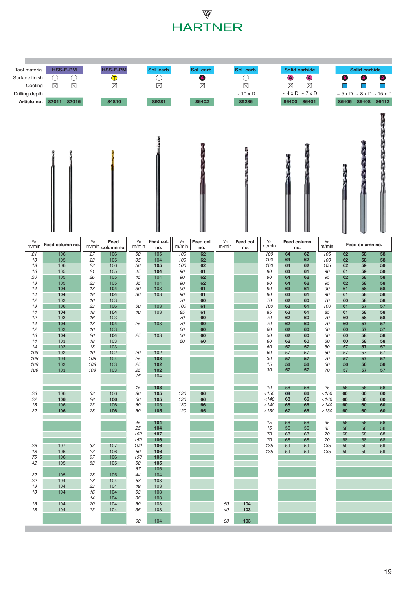## $\mathbb{Q}$ **HARTNER**

| Tool material<br>Surface finish<br>Cooling<br>Drilling depth<br>Article no. | HSS-E-PM<br>O<br>$\bigcirc$<br>$\boxtimes$<br>$\boxtimes$<br>87011<br>87016 |            | <b>HSS-E-PM</b><br>$\bigcirc$<br>$\boxtimes$<br>84810 |                                    | Sol. carb.<br>C<br>$\boxtimes$<br>89281 |                | Sol. carb.<br>$\blacktriangle$<br>$\boxtimes$<br>86402 |                | Sol. carb.<br>$\boxtimes$<br>$\sim 10 \times D$<br>89286 |                | $\bigcirc$<br>⊠<br>86400 | Solid carbide<br>A<br>$\boxtimes$<br>$~\sim$ 4 x D $~\sim$ 7 x D<br>86401 |                  | $\blacktriangle$<br>×<br>86405 | <b>Solid carbide</b><br>$\blacktriangle$<br>$\sim$ 5 x D $\sim$ 8 x D $\sim$ 15 x D<br>86408 | $\blacktriangle$<br>$\sim$<br>86412 |
|-----------------------------------------------------------------------------|-----------------------------------------------------------------------------|------------|-------------------------------------------------------|------------------------------------|-----------------------------------------|----------------|--------------------------------------------------------|----------------|----------------------------------------------------------|----------------|--------------------------|---------------------------------------------------------------------------|------------------|--------------------------------|----------------------------------------------------------------------------------------------|-------------------------------------|
|                                                                             | I                                                                           |            |                                                       |                                    |                                         |                |                                                        |                |                                                          |                |                          |                                                                           |                  |                                |                                                                                              |                                     |
| Vc<br>m/min                                                                 | Feed column no.                                                             | $V_C$      | Feed<br>m/min column no.                              | $\mathsf{V}_{\mathsf{C}}$<br>m/min | Feed col.<br>no.                        | $V_C$<br>m/min | Feed col.<br>no.                                       | $V_C$<br>m/min | Feed col.<br>no.                                         | $V_C$<br>m/min | Feed column<br>no.       |                                                                           | $V_C$<br>m/min   |                                | Feed column no.                                                                              |                                     |
| 21<br>18                                                                    | 106<br>105                                                                  | 27<br>23   | 106<br>105                                            | 50<br>35                           | 105<br>104                              | 100<br>100     | 62<br>62                                               |                |                                                          | 100<br>100     | 64<br>64                 | 62<br>62                                                                  | 105<br>100       | 62<br>62                       | 58<br>58                                                                                     | 58<br>58                            |
| 18                                                                          | 106                                                                         | 23         | 106                                                   | 50                                 | 105                                     | 100            | 62                                                     |                |                                                          | 100            | 64                       | 62                                                                        | 105              | 62                             | 59                                                                                           | 59                                  |
| 16<br>20                                                                    | 105<br>105                                                                  | 21<br>26   | 105<br>105                                            | 45<br>45                           | 104<br>104                              | 90<br>90       | 61<br>62                                               |                |                                                          | 90<br>90       | 63<br>64                 | 61<br>62                                                                  | 90<br>95         | 61<br>62                       | 59<br>58                                                                                     | 59<br>58                            |
| 18                                                                          | 105                                                                         | 23         | 105                                                   | 35                                 | 104                                     | 90             | 62                                                     |                |                                                          | 90             | 64                       | 62                                                                        | 95               | 62                             | 58                                                                                           | 58                                  |
| 14<br>14                                                                    | 104<br>104                                                                  | 18<br>18   | 104<br>104                                            | 30<br>30                           | 103<br>103                              | 90<br>90       | 61<br>61                                               |                |                                                          | 90<br>90       | 63<br>63                 | 61<br>61                                                                  | 90<br>90         | 61<br>61                       | 58<br>58                                                                                     | 58<br>58                            |
| 12                                                                          | 103                                                                         | 16         | 103                                                   |                                    |                                         | 70             | 60                                                     |                |                                                          | 70             | 62                       | 60                                                                        | 70               | 60                             | 58                                                                                           | 58                                  |
| $18$<br>14                                                                  | 106<br>104                                                                  | 23<br>18   | 106                                                   | 50<br>40                           | 103<br>103                              | 100<br>85      | 61<br>61                                               |                |                                                          | 100<br>85      | 63<br>63                 | 61<br>61                                                                  | 100<br>85        | 61<br>61                       | 57<br>58                                                                                     | 57<br>58                            |
| 12                                                                          | 103                                                                         | 16         | 104<br>103                                            |                                    |                                         | 70             | 60                                                     |                |                                                          | 70             | 62                       | 60                                                                        | 70               | 60                             | 58                                                                                           | 58                                  |
| 14<br>12                                                                    | 104<br>103                                                                  | 18<br>16   | 104<br>103                                            | 25                                 | 103                                     | 70<br>60       | 60<br>60                                               |                |                                                          | 70<br>60       | 62<br>62                 | 60<br>60                                                                  | 70<br>60         | 60<br>60                       | 57<br>57                                                                                     | 57<br>57                            |
| 16                                                                          | 104                                                                         | 20         | 104                                                   | 25                                 | 103                                     | 50             | 60                                                     |                |                                                          | 50             | 62                       | 60                                                                        | 50               | 60                             | 58                                                                                           | 58                                  |
| 14<br>14                                                                    | 103                                                                         | 18         | 103                                                   |                                    |                                         | 60             | 60                                                     |                |                                                          | 60<br>60       | 62<br>57                 | 60                                                                        | 50               | 60                             | 58                                                                                           | 58                                  |
| 108                                                                         | 103<br>102                                                                  | 18<br>10   | 103<br>102                                            | 20                                 | 102                                     |                |                                                        |                |                                                          | 60             | 57                       | 57<br>57                                                                  | 50<br>50         | 57<br>57                       | 57<br>57                                                                                     | 57<br>57                            |
| 106                                                                         | 104                                                                         | 108        | 104                                                   | 25                                 | 103                                     |                |                                                        |                |                                                          | 30             | 57                       | 57                                                                        | 70               | 57                             | 57                                                                                           | 57                                  |
| 106<br>106                                                                  | 103<br>103                                                                  | 108<br>108 | 103<br>103                                            | 25<br>25                           | 102<br>102                              |                |                                                        |                |                                                          | 15<br>30       | 56<br>57                 | 56<br>57                                                                  | 60<br>70         | 56<br>57                       | 56<br>57                                                                                     | 56<br>57                            |
|                                                                             |                                                                             |            |                                                       | 15                                 | 104                                     |                |                                                        |                |                                                          |                |                          |                                                                           |                  |                                |                                                                                              |                                     |
|                                                                             |                                                                             |            |                                                       | 15                                 | 103                                     |                |                                                        |                |                                                          | 10             | 56                       | 56                                                                        | 25               | 56                             | 56                                                                                           | 56                                  |
| 26<br>22                                                                    | 106<br>106                                                                  | 33<br>28   | 106<br>106                                            | 80<br>60                           | 105<br>105                              | 130<br>130     | 66<br>66                                               |                |                                                          | < 150<br>< 140 | 68<br>68                 | 66<br>66                                                                  | $< 150$<br>< 140 | 60<br>60                       | 60<br>60                                                                                     | 60<br>60                            |
| 18                                                                          | 106                                                                         | 23         | 106                                                   | 60                                 | 105                                     | 130            | 66                                                     |                |                                                          | < 140          | 68                       | 66                                                                        | < 140            | 60                             | 60                                                                                           | 60                                  |
| 22                                                                          | 106                                                                         | 28         | 106                                                   | 50                                 | 105                                     | 120            | 65                                                     |                |                                                          | < 130          | 67                       | 65                                                                        | $<130$           | 60                             | 60                                                                                           | 60                                  |
|                                                                             |                                                                             |            |                                                       | 45                                 | 104                                     |                |                                                        |                |                                                          | 15             | 56                       | 56                                                                        | 35               | 56                             | 56                                                                                           | 56                                  |
|                                                                             |                                                                             |            |                                                       | 25<br>160                          | 104<br>107                              |                |                                                        |                |                                                          | 15<br>70       | 56<br>68                 | 56<br>68                                                                  | 35<br>70         | 56<br>68                       | 56                                                                                           | 56                                  |
|                                                                             |                                                                             |            |                                                       | 150                                | 106                                     |                |                                                        |                |                                                          | 70             | 68                       | 68                                                                        | 70               | 68                             | 68<br>68                                                                                     | 68<br>68                            |
| 26                                                                          | 107                                                                         | 33         | 107                                                   | 100                                | 106                                     |                |                                                        |                |                                                          | 135            | 59                       | 59                                                                        | 135              | 59                             | 59                                                                                           | 59                                  |
| 18<br>$75\,$                                                                | 106<br>106                                                                  | 23<br>97   | 106<br>106                                            | 60<br>150                          | 106<br>105                              |                |                                                        |                |                                                          | 135            | 59                       | 59                                                                        | 135              | 59                             | 59                                                                                           | 59                                  |
| 42                                                                          | 105                                                                         | 53         | 105                                                   | 50                                 | 105                                     |                |                                                        |                |                                                          |                |                          |                                                                           |                  |                                |                                                                                              |                                     |
| $2\sqrt{2}$                                                                 | 105                                                                         | 28         | 105                                                   | 67<br>44                           | 106<br>104                              |                |                                                        |                |                                                          |                |                          |                                                                           |                  |                                |                                                                                              |                                     |
| 22                                                                          | 104                                                                         | 28         | 104                                                   | 68                                 | 103                                     |                |                                                        |                |                                                          |                |                          |                                                                           |                  |                                |                                                                                              |                                     |
| 18<br>13                                                                    | 104<br>104                                                                  | 23<br>16   | 104<br>104                                            | 49<br>53                           | 103<br>103                              |                |                                                        |                |                                                          |                |                          |                                                                           |                  |                                |                                                                                              |                                     |
|                                                                             |                                                                             | 14         | 104                                                   | 36                                 | 103                                     |                |                                                        |                |                                                          |                |                          |                                                                           |                  |                                |                                                                                              |                                     |
| $16\,$<br>18                                                                | 104<br>104                                                                  | 20<br>23   | 104<br>104                                            | 50<br>36                           | 103<br>103                              |                |                                                        | 50<br>40       | 104<br>103                                               |                |                          |                                                                           |                  |                                |                                                                                              |                                     |
|                                                                             |                                                                             |            |                                                       |                                    |                                         |                |                                                        |                |                                                          |                |                          |                                                                           |                  |                                |                                                                                              |                                     |
|                                                                             |                                                                             |            |                                                       | 60                                 | 104                                     |                |                                                        | 80             | 103                                                      |                |                          |                                                                           |                  |                                |                                                                                              |                                     |